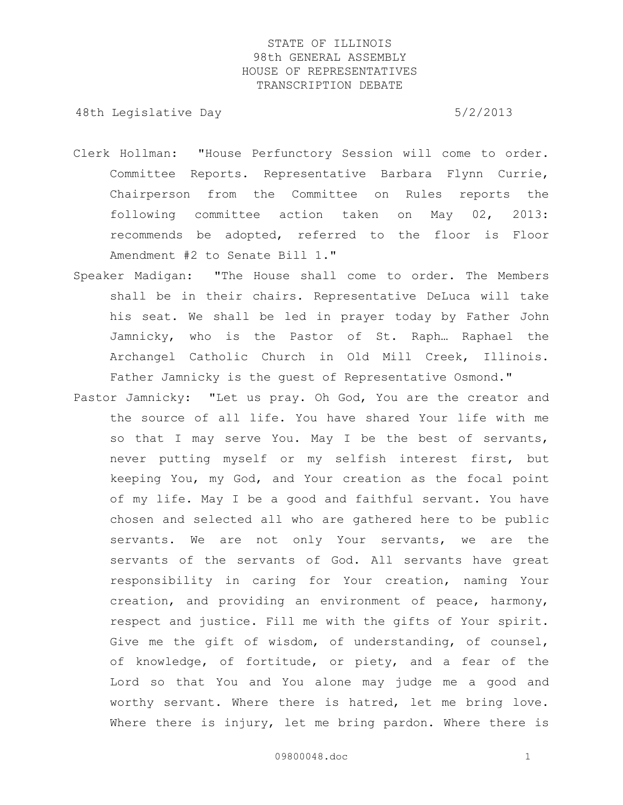- Clerk Hollman: "House Perfunctory Session will come to order. Committee Reports. Representative Barbara Flynn Currie, Chairperson from the Committee on Rules reports the following committee action taken on May 02, 2013: recommends be adopted, referred to the floor is Floor Amendment #2 to Senate Bill 1."
- Speaker Madigan: "The House shall come to order. The Members shall be in their chairs. Representative DeLuca will take his seat. We shall be led in prayer today by Father John Jamnicky, who is the Pastor of St. Raph… Raphael the Archangel Catholic Church in Old Mill Creek, Illinois. Father Jamnicky is the guest of Representative Osmond."
- Pastor Jamnicky: "Let us pray. Oh God, You are the creator and the source of all life. You have shared Your life with me so that I may serve You. May I be the best of servants, never putting myself or my selfish interest first, but keeping You, my God, and Your creation as the focal point of my life. May I be a good and faithful servant. You have chosen and selected all who are gathered here to be public servants. We are not only Your servants, we are the servants of the servants of God. All servants have great responsibility in caring for Your creation, naming Your creation, and providing an environment of peace, harmony, respect and justice. Fill me with the gifts of Your spirit. Give me the gift of wisdom, of understanding, of counsel, of knowledge, of fortitude, or piety, and a fear of the Lord so that You and You alone may judge me a good and worthy servant. Where there is hatred, let me bring love. Where there is injury, let me bring pardon. Where there is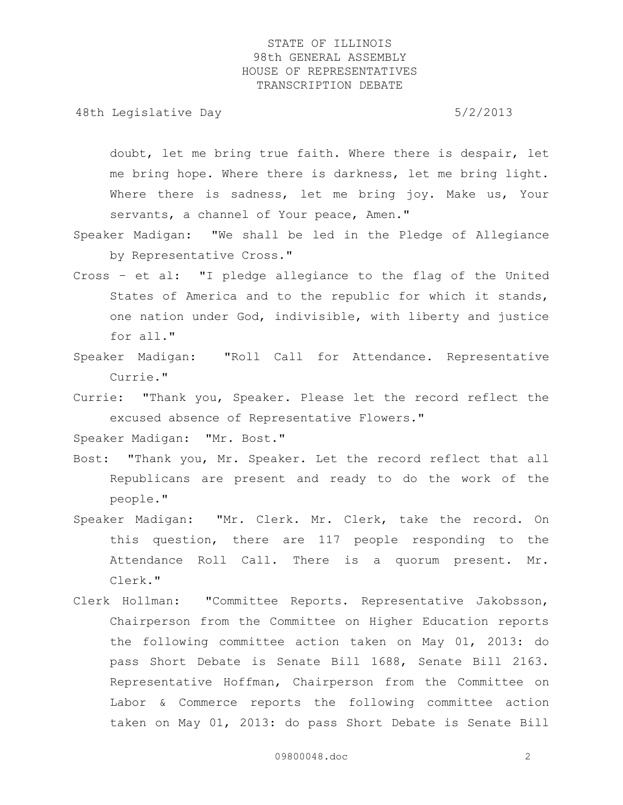48th Legislative Day 6/2/2013

doubt, let me bring true faith. Where there is despair, let me bring hope. Where there is darkness, let me bring light. Where there is sadness, let me bring joy. Make us, Your servants, a channel of Your peace, Amen."

- Speaker Madigan: "We shall be led in the Pledge of Allegiance by Representative Cross."
- Cross et al: "I pledge allegiance to the flag of the United States of America and to the republic for which it stands, one nation under God, indivisible, with liberty and justice for all."
- Speaker Madigan: "Roll Call for Attendance. Representative Currie."
- Currie: "Thank you, Speaker. Please let the record reflect the excused absence of Representative Flowers."

Speaker Madigan: "Mr. Bost."

- Bost: "Thank you, Mr. Speaker. Let the record reflect that all Republicans are present and ready to do the work of the people."
- Speaker Madigan: "Mr. Clerk. Mr. Clerk, take the record. On this question, there are 117 people responding to the Attendance Roll Call. There is a quorum present. Mr. Clerk."
- Clerk Hollman: "Committee Reports. Representative Jakobsson, Chairperson from the Committee on Higher Education reports the following committee action taken on May 01, 2013: do pass Short Debate is Senate Bill 1688, Senate Bill 2163. Representative Hoffman, Chairperson from the Committee on Labor & Commerce reports the following committee action taken on May 01, 2013: do pass Short Debate is Senate Bill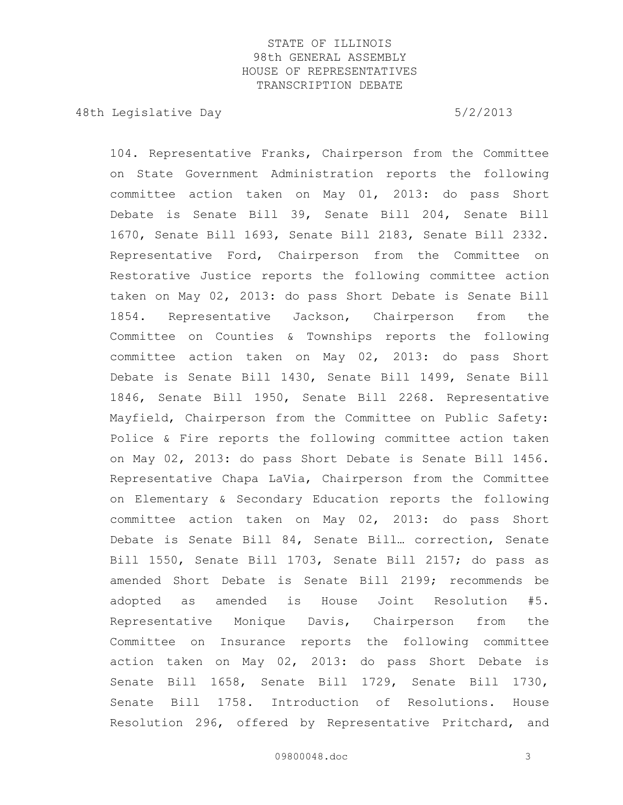48th Legislative Day 6/2/2013

104. Representative Franks, Chairperson from the Committee on State Government Administration reports the following committee action taken on May 01, 2013: do pass Short Debate is Senate Bill 39, Senate Bill 204, Senate Bill 1670, Senate Bill 1693, Senate Bill 2183, Senate Bill 2332. Representative Ford, Chairperson from the Committee on Restorative Justice reports the following committee action taken on May 02, 2013: do pass Short Debate is Senate Bill 1854. Representative Jackson, Chairperson from the Committee on Counties & Townships reports the following committee action taken on May 02, 2013: do pass Short Debate is Senate Bill 1430, Senate Bill 1499, Senate Bill 1846, Senate Bill 1950, Senate Bill 2268. Representative Mayfield, Chairperson from the Committee on Public Safety: Police & Fire reports the following committee action taken on May 02, 2013: do pass Short Debate is Senate Bill 1456. Representative Chapa LaVia, Chairperson from the Committee on Elementary & Secondary Education reports the following committee action taken on May 02, 2013: do pass Short Debate is Senate Bill 84, Senate Bill… correction, Senate Bill 1550, Senate Bill 1703, Senate Bill 2157; do pass as amended Short Debate is Senate Bill 2199; recommends be adopted as amended is House Joint Resolution #5. Representative Monique Davis, Chairperson from the Committee on Insurance reports the following committee action taken on May 02, 2013: do pass Short Debate is Senate Bill 1658, Senate Bill 1729, Senate Bill 1730, Senate Bill 1758. Introduction of Resolutions. House Resolution 296, offered by Representative Pritchard, and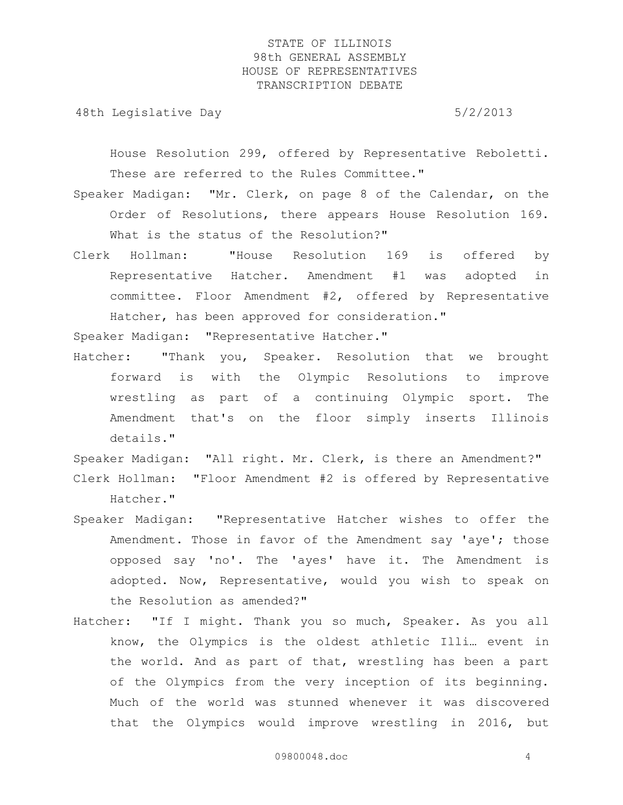48th Legislative Day 6/2/2013

House Resolution 299, offered by Representative Reboletti. These are referred to the Rules Committee."

- Speaker Madigan: "Mr. Clerk, on page 8 of the Calendar, on the Order of Resolutions, there appears House Resolution 169. What is the status of the Resolution?"
- Clerk Hollman: "House Resolution 169 is offered by Representative Hatcher. Amendment #1 was adopted in committee. Floor Amendment #2, offered by Representative Hatcher, has been approved for consideration."

Speaker Madigan: "Representative Hatcher."

Hatcher: "Thank you, Speaker. Resolution that we brought forward is with the Olympic Resolutions to improve wrestling as part of a continuing Olympic sport. The Amendment that's on the floor simply inserts Illinois details."

Speaker Madigan: "All right. Mr. Clerk, is there an Amendment?" Clerk Hollman: "Floor Amendment #2 is offered by Representative Hatcher."

- Speaker Madigan: "Representative Hatcher wishes to offer the Amendment. Those in favor of the Amendment say 'aye'; those opposed say 'no'. The 'ayes' have it. The Amendment is adopted. Now, Representative, would you wish to speak on the Resolution as amended?"
- Hatcher: "If I might. Thank you so much, Speaker. As you all know, the Olympics is the oldest athletic Illi… event in the world. And as part of that, wrestling has been a part of the Olympics from the very inception of its beginning. Much of the world was stunned whenever it was discovered that the Olympics would improve wrestling in 2016, but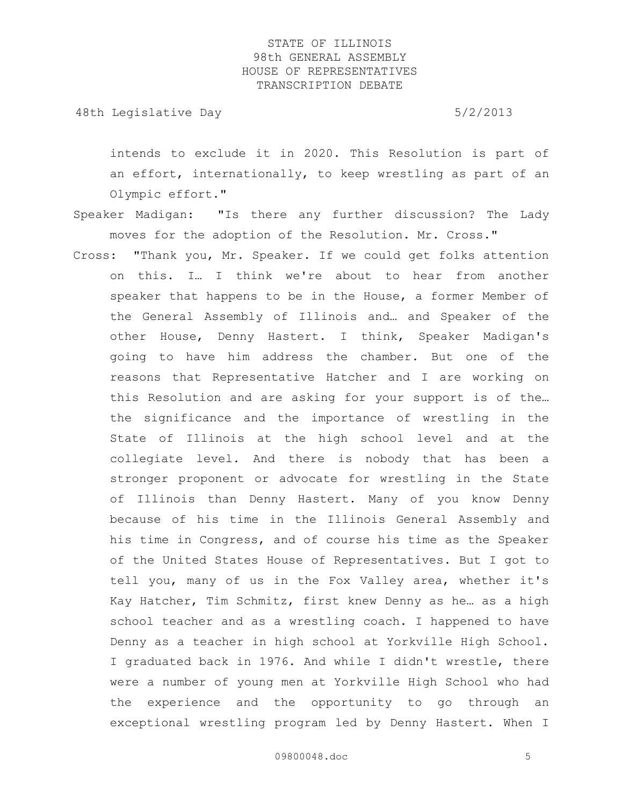48th Legislative Day 6/2/2013

intends to exclude it in 2020. This Resolution is part of an effort, internationally, to keep wrestling as part of an Olympic effort."

- Speaker Madigan: "Is there any further discussion? The Lady moves for the adoption of the Resolution. Mr. Cross."
- Cross: "Thank you, Mr. Speaker. If we could get folks attention on this. I… I think we're about to hear from another speaker that happens to be in the House, a former Member of the General Assembly of Illinois and… and Speaker of the other House, Denny Hastert. I think, Speaker Madigan's going to have him address the chamber. But one of the reasons that Representative Hatcher and I are working on this Resolution and are asking for your support is of the… the significance and the importance of wrestling in the State of Illinois at the high school level and at the collegiate level. And there is nobody that has been a stronger proponent or advocate for wrestling in the State of Illinois than Denny Hastert. Many of you know Denny because of his time in the Illinois General Assembly and his time in Congress, and of course his time as the Speaker of the United States House of Representatives. But I got to tell you, many of us in the Fox Valley area, whether it's Kay Hatcher, Tim Schmitz, first knew Denny as he… as a high school teacher and as a wrestling coach. I happened to have Denny as a teacher in high school at Yorkville High School. I graduated back in 1976. And while I didn't wrestle, there were a number of young men at Yorkville High School who had the experience and the opportunity to go through an exceptional wrestling program led by Denny Hastert. When I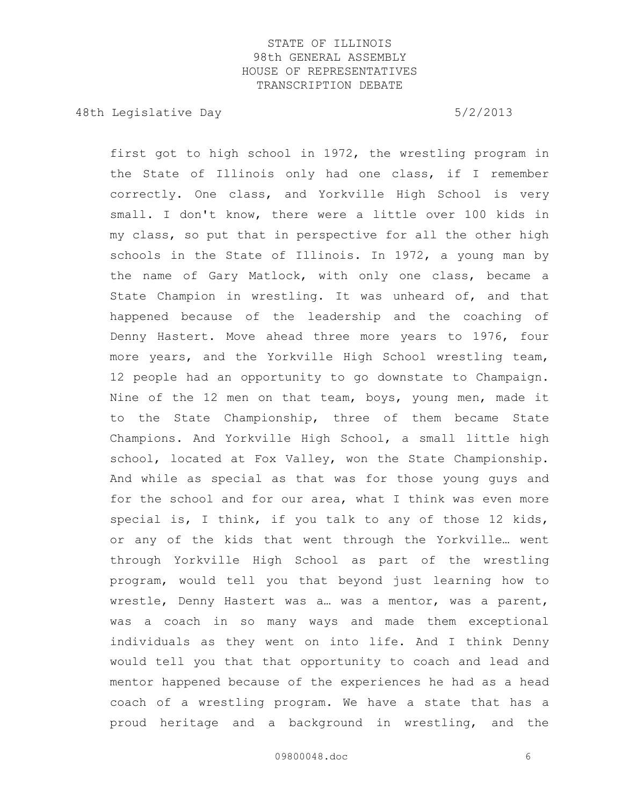48th Legislative Day 6/2/2013

first got to high school in 1972, the wrestling program in the State of Illinois only had one class, if I remember correctly. One class, and Yorkville High School is very small. I don't know, there were a little over 100 kids in my class, so put that in perspective for all the other high schools in the State of Illinois. In 1972, a young man by the name of Gary Matlock, with only one class, became a State Champion in wrestling. It was unheard of, and that happened because of the leadership and the coaching of Denny Hastert. Move ahead three more years to 1976, four more years, and the Yorkville High School wrestling team, 12 people had an opportunity to go downstate to Champaign. Nine of the 12 men on that team, boys, young men, made it to the State Championship, three of them became State Champions. And Yorkville High School, a small little high school, located at Fox Valley, won the State Championship. And while as special as that was for those young guys and for the school and for our area, what I think was even more special is, I think, if you talk to any of those 12 kids, or any of the kids that went through the Yorkville… went through Yorkville High School as part of the wrestling program, would tell you that beyond just learning how to wrestle, Denny Hastert was a… was a mentor, was a parent, was a coach in so many ways and made them exceptional individuals as they went on into life. And I think Denny would tell you that that opportunity to coach and lead and mentor happened because of the experiences he had as a head coach of a wrestling program. We have a state that has a proud heritage and a background in wrestling, and the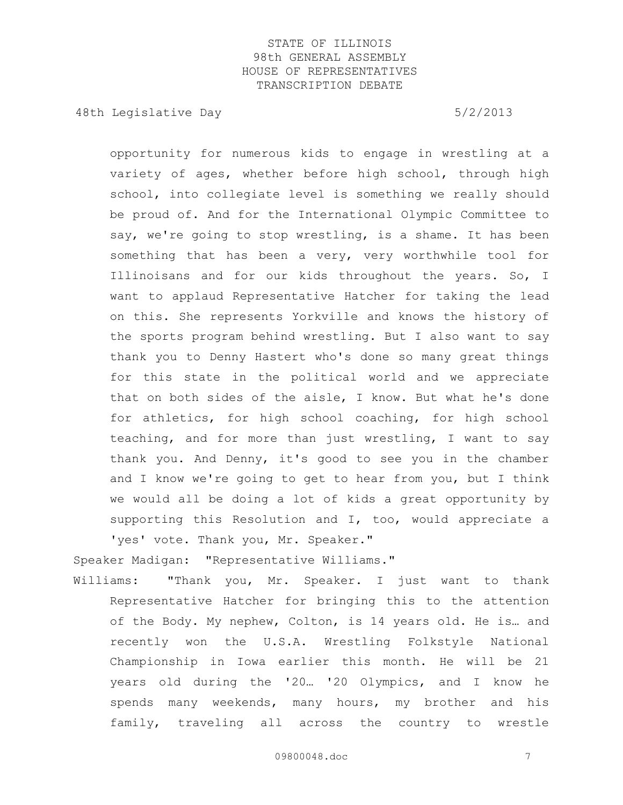48th Legislative Day 6/2/2013

opportunity for numerous kids to engage in wrestling at a variety of ages, whether before high school, through high school, into collegiate level is something we really should be proud of. And for the International Olympic Committee to say, we're going to stop wrestling, is a shame. It has been something that has been a very, very worthwhile tool for Illinoisans and for our kids throughout the years. So, I want to applaud Representative Hatcher for taking the lead on this. She represents Yorkville and knows the history of the sports program behind wrestling. But I also want to say thank you to Denny Hastert who's done so many great things for this state in the political world and we appreciate that on both sides of the aisle, I know. But what he's done for athletics, for high school coaching, for high school teaching, and for more than just wrestling, I want to say thank you. And Denny, it's good to see you in the chamber and I know we're going to get to hear from you, but I think we would all be doing a lot of kids a great opportunity by supporting this Resolution and I, too, would appreciate a 'yes' vote. Thank you, Mr. Speaker."

Speaker Madigan: "Representative Williams."

Williams: "Thank you, Mr. Speaker. I just want to thank Representative Hatcher for bringing this to the attention of the Body. My nephew, Colton, is 14 years old. He is… and recently won the U.S.A. Wrestling Folkstyle National Championship in Iowa earlier this month. He will be 21 years old during the '20… '20 Olympics, and I know he spends many weekends, many hours, my brother and his family, traveling all across the country to wrestle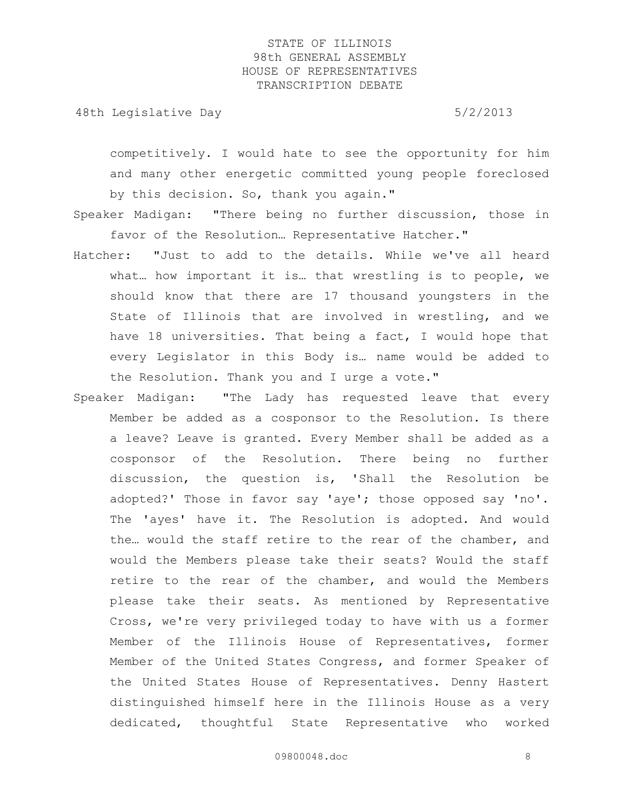48th Legislative Day 6/2/2013

competitively. I would hate to see the opportunity for him and many other energetic committed young people foreclosed by this decision. So, thank you again."

- Speaker Madigan: "There being no further discussion, those in favor of the Resolution… Representative Hatcher."
- Hatcher: "Just to add to the details. While we've all heard what… how important it is… that wrestling is to people, we should know that there are 17 thousand youngsters in the State of Illinois that are involved in wrestling, and we have 18 universities. That being a fact, I would hope that every Legislator in this Body is… name would be added to the Resolution. Thank you and I urge a vote."
- Speaker Madigan: "The Lady has requested leave that every Member be added as a cosponsor to the Resolution. Is there a leave? Leave is granted. Every Member shall be added as a cosponsor of the Resolution. There being no further discussion, the question is, 'Shall the Resolution be adopted?' Those in favor say 'aye'; those opposed say 'no'. The 'ayes' have it. The Resolution is adopted. And would the… would the staff retire to the rear of the chamber, and would the Members please take their seats? Would the staff retire to the rear of the chamber, and would the Members please take their seats. As mentioned by Representative Cross, we're very privileged today to have with us a former Member of the Illinois House of Representatives, former Member of the United States Congress, and former Speaker of the United States House of Representatives. Denny Hastert distinguished himself here in the Illinois House as a very dedicated, thoughtful State Representative who worked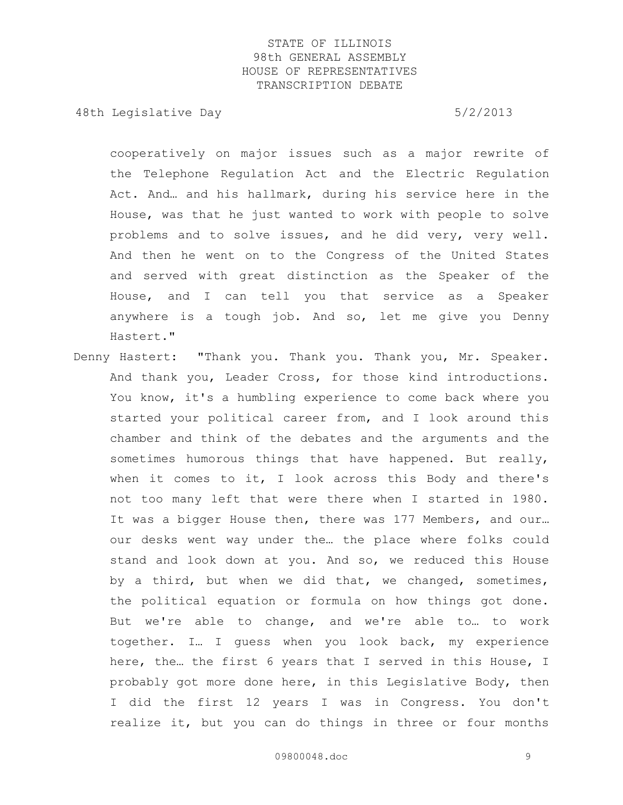48th Legislative Day 6/2/2013

cooperatively on major issues such as a major rewrite of the Telephone Regulation Act and the Electric Regulation Act. And… and his hallmark, during his service here in the House, was that he just wanted to work with people to solve problems and to solve issues, and he did very, very well. And then he went on to the Congress of the United States and served with great distinction as the Speaker of the House, and I can tell you that service as a Speaker anywhere is a tough job. And so, let me give you Denny Hastert."

Denny Hastert: "Thank you. Thank you. Thank you, Mr. Speaker. And thank you, Leader Cross, for those kind introductions. You know, it's a humbling experience to come back where you started your political career from, and I look around this chamber and think of the debates and the arguments and the sometimes humorous things that have happened. But really, when it comes to it, I look across this Body and there's not too many left that were there when I started in 1980. It was a bigger House then, there was 177 Members, and our... our desks went way under the… the place where folks could stand and look down at you. And so, we reduced this House by a third, but when we did that, we changed, sometimes, the political equation or formula on how things got done. But we're able to change, and we're able to… to work together. I… I guess when you look back, my experience here, the… the first 6 years that I served in this House, I probably got more done here, in this Legislative Body, then I did the first 12 years I was in Congress. You don't realize it, but you can do things in three or four months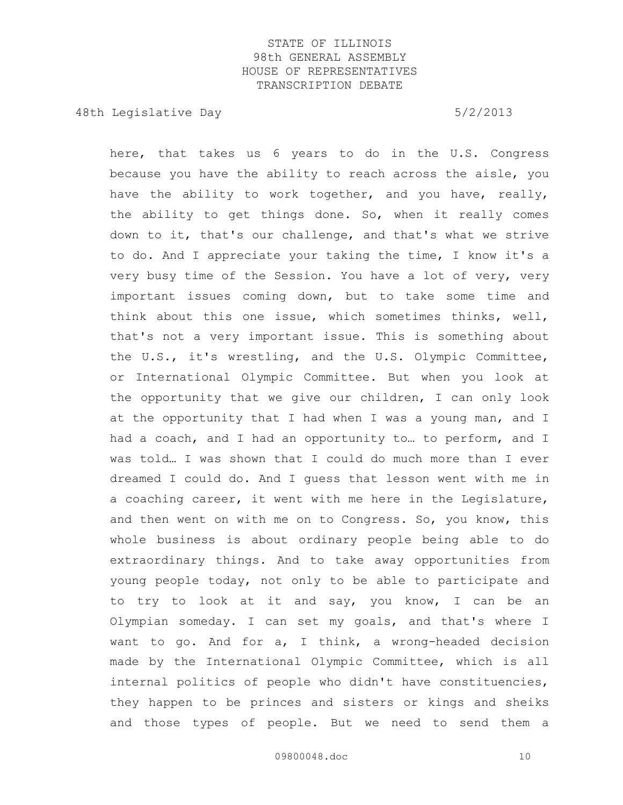48th Legislative Day 6/2/2013

here, that takes us 6 years to do in the U.S. Congress because you have the ability to reach across the aisle, you have the ability to work together, and you have, really, the ability to get things done. So, when it really comes down to it, that's our challenge, and that's what we strive to do. And I appreciate your taking the time, I know it's a very busy time of the Session. You have a lot of very, very important issues coming down, but to take some time and think about this one issue, which sometimes thinks, well, that's not a very important issue. This is something about the U.S., it's wrestling, and the U.S. Olympic Committee, or International Olympic Committee. But when you look at the opportunity that we give our children, I can only look at the opportunity that I had when I was a young man, and I had a coach, and I had an opportunity to… to perform, and I was told… I was shown that I could do much more than I ever dreamed I could do. And I guess that lesson went with me in a coaching career, it went with me here in the Legislature, and then went on with me on to Congress. So, you know, this whole business is about ordinary people being able to do extraordinary things. And to take away opportunities from young people today, not only to be able to participate and to try to look at it and say, you know, I can be an Olympian someday. I can set my goals, and that's where I want to go. And for a, I think, a wrong-headed decision made by the International Olympic Committee, which is all internal politics of people who didn't have constituencies, they happen to be princes and sisters or kings and sheiks and those types of people. But we need to send them a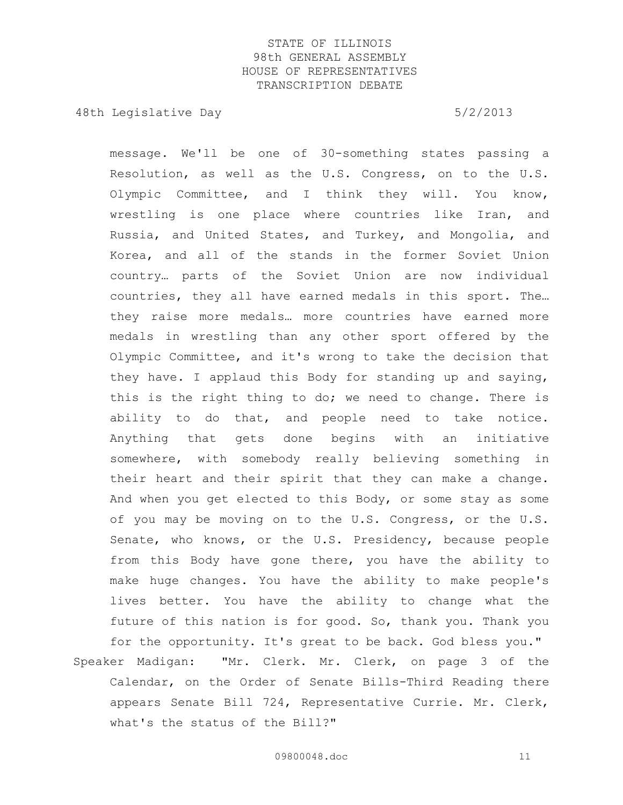48th Legislative Day 6/2/2013

message. We'll be one of 30-something states passing a Resolution, as well as the U.S. Congress, on to the U.S. Olympic Committee, and I think they will. You know, wrestling is one place where countries like Iran, and Russia, and United States, and Turkey, and Mongolia, and Korea, and all of the stands in the former Soviet Union country… parts of the Soviet Union are now individual countries, they all have earned medals in this sport. The… they raise more medals… more countries have earned more medals in wrestling than any other sport offered by the Olympic Committee, and it's wrong to take the decision that they have. I applaud this Body for standing up and saying, this is the right thing to do; we need to change. There is ability to do that, and people need to take notice. Anything that gets done begins with an initiative somewhere, with somebody really believing something in their heart and their spirit that they can make a change. And when you get elected to this Body, or some stay as some of you may be moving on to the U.S. Congress, or the U.S. Senate, who knows, or the U.S. Presidency, because people from this Body have gone there, you have the ability to make huge changes. You have the ability to make people's lives better. You have the ability to change what the future of this nation is for good. So, thank you. Thank you for the opportunity. It's great to be back. God bless you." Speaker Madigan: "Mr. Clerk. Mr. Clerk, on page 3 of the Calendar, on the Order of Senate Bills-Third Reading there appears Senate Bill 724, Representative Currie. Mr. Clerk,

what's the status of the Bill?"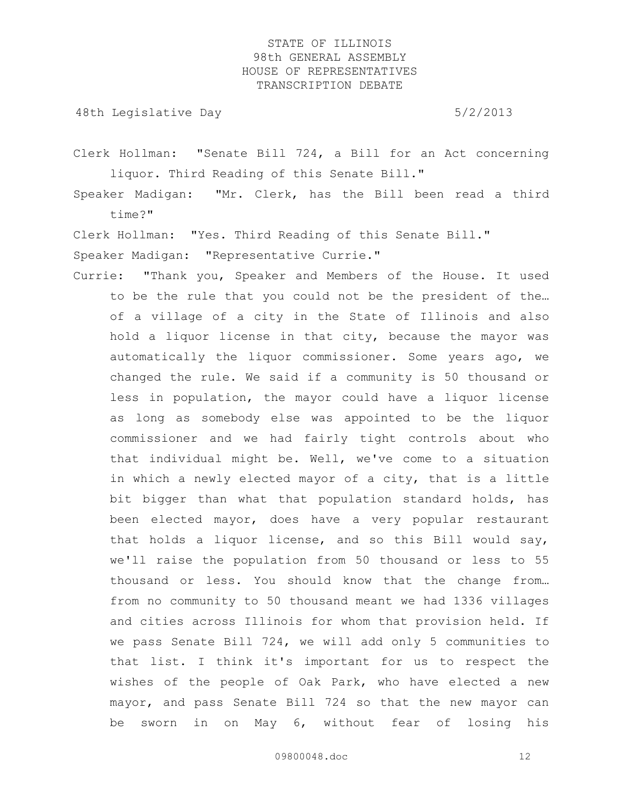48th Legislative Day 6/2/2013

Clerk Hollman: "Senate Bill 724, a Bill for an Act concerning liquor. Third Reading of this Senate Bill."

Speaker Madigan: "Mr. Clerk, has the Bill been read a third time?"

Clerk Hollman: "Yes. Third Reading of this Senate Bill."

Speaker Madigan: "Representative Currie."

Currie: "Thank you, Speaker and Members of the House. It used to be the rule that you could not be the president of the… of a village of a city in the State of Illinois and also hold a liquor license in that city, because the mayor was automatically the liquor commissioner. Some years ago, we changed the rule. We said if a community is 50 thousand or less in population, the mayor could have a liquor license as long as somebody else was appointed to be the liquor commissioner and we had fairly tight controls about who that individual might be. Well, we've come to a situation in which a newly elected mayor of a city, that is a little bit bigger than what that population standard holds, has been elected mayor, does have a very popular restaurant that holds a liquor license, and so this Bill would say, we'll raise the population from 50 thousand or less to 55 thousand or less. You should know that the change from… from no community to 50 thousand meant we had 1336 villages and cities across Illinois for whom that provision held. If we pass Senate Bill 724, we will add only 5 communities to that list. I think it's important for us to respect the wishes of the people of Oak Park, who have elected a new mayor, and pass Senate Bill 724 so that the new mayor can be sworn in on May 6, without fear of losing his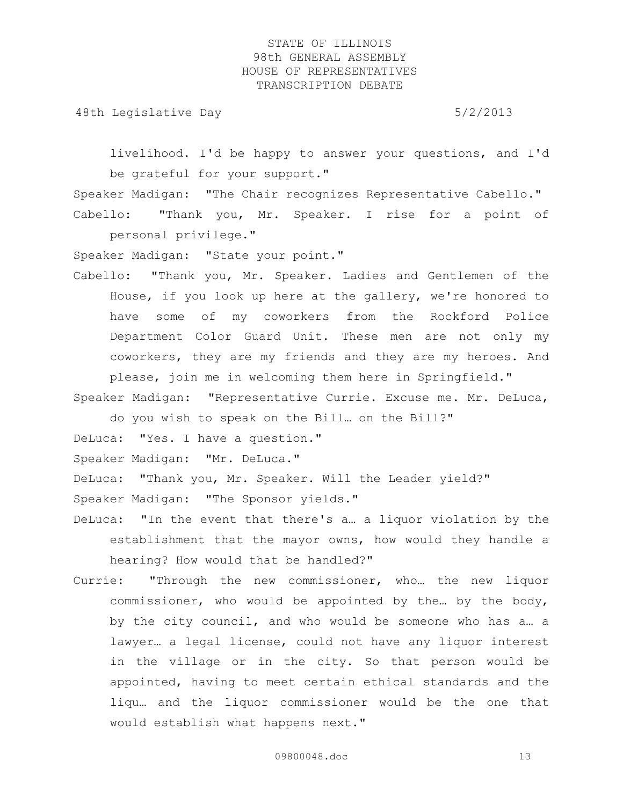48th Legislative Day 6/2/2013

livelihood. I'd be happy to answer your questions, and I'd be grateful for your support."

Speaker Madigan: "The Chair recognizes Representative Cabello." Cabello: "Thank you, Mr. Speaker. I rise for a point of

personal privilege."

Speaker Madigan: "State your point."

Cabello: "Thank you, Mr. Speaker. Ladies and Gentlemen of the House, if you look up here at the gallery, we're honored to have some of my coworkers from the Rockford Police Department Color Guard Unit. These men are not only my coworkers, they are my friends and they are my heroes. And

please, join me in welcoming them here in Springfield." Speaker Madigan: "Representative Currie. Excuse me. Mr. DeLuca,

do you wish to speak on the Bill… on the Bill?"

DeLuca: "Yes. I have a question."

Speaker Madigan: "Mr. DeLuca."

DeLuca: "Thank you, Mr. Speaker. Will the Leader yield?"

Speaker Madigan: "The Sponsor yields."

- DeLuca: "In the event that there's a… a liquor violation by the establishment that the mayor owns, how would they handle a hearing? How would that be handled?"
- Currie: "Through the new commissioner, who… the new liquor commissioner, who would be appointed by the… by the body, by the city council, and who would be someone who has a… a lawyer… a legal license, could not have any liquor interest in the village or in the city. So that person would be appointed, having to meet certain ethical standards and the liqu… and the liquor commissioner would be the one that would establish what happens next."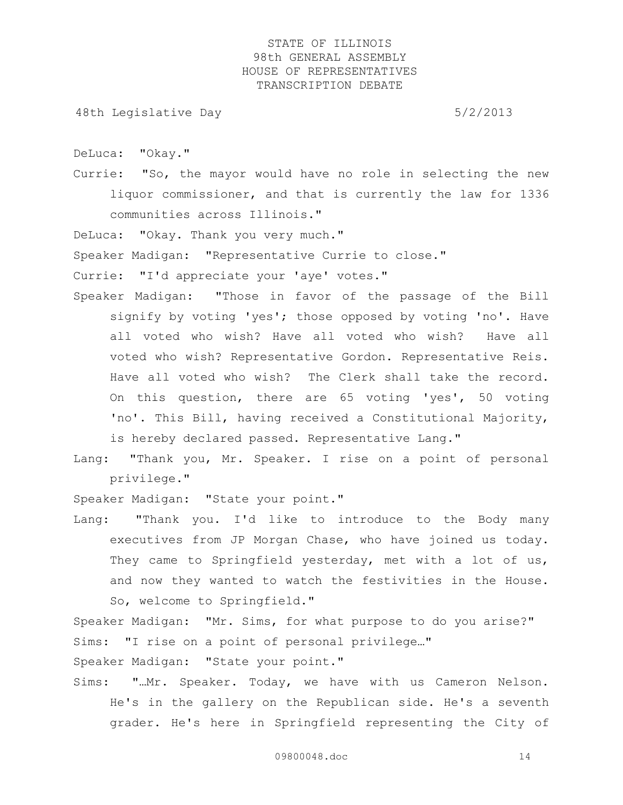48th Legislative Day 6/2/2013

DeLuca: "Okay."

Currie: "So, the mayor would have no role in selecting the new liquor commissioner, and that is currently the law for 1336 communities across Illinois."

DeLuca: "Okay. Thank you very much."

Speaker Madigan: "Representative Currie to close."

Currie: "I'd appreciate your 'aye' votes."

- Speaker Madigan: "Those in favor of the passage of the Bill signify by voting 'yes'; those opposed by voting 'no'. Have all voted who wish? Have all voted who wish? Have all voted who wish? Representative Gordon. Representative Reis. Have all voted who wish? The Clerk shall take the record. On this question, there are 65 voting 'yes', 50 voting 'no'. This Bill, having received a Constitutional Majority, is hereby declared passed. Representative Lang."
- Lang: "Thank you, Mr. Speaker. I rise on a point of personal privilege."

Speaker Madigan: "State your point."

Lang: "Thank you. I'd like to introduce to the Body many executives from JP Morgan Chase, who have joined us today. They came to Springfield yesterday, met with a lot of us, and now they wanted to watch the festivities in the House. So, welcome to Springfield."

Speaker Madigan: "Mr. Sims, for what purpose to do you arise?" Sims: "I rise on a point of personal privilege…"

Speaker Madigan: "State your point."

Sims: "…Mr. Speaker. Today, we have with us Cameron Nelson. He's in the gallery on the Republican side. He's a seventh grader. He's here in Springfield representing the City of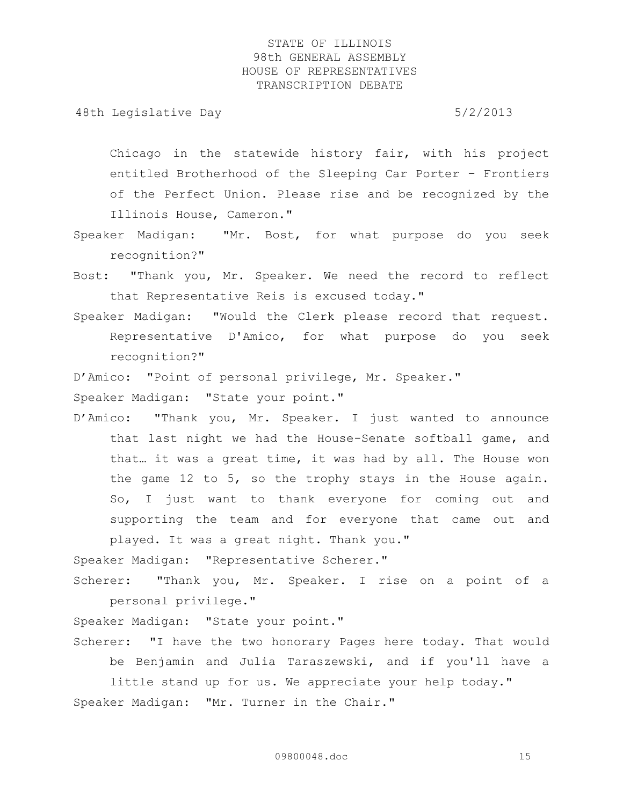48th Legislative Day 6/2/2013

Chicago in the statewide history fair, with his project entitled Brotherhood of the Sleeping Car Porter – Frontiers of the Perfect Union. Please rise and be recognized by the Illinois House, Cameron."

- Speaker Madigan: "Mr. Bost, for what purpose do you seek recognition?"
- Bost: "Thank you, Mr. Speaker. We need the record to reflect that Representative Reis is excused today."
- Speaker Madigan: "Would the Clerk please record that request. Representative D'Amico, for what purpose do you seek recognition?"

D'Amico: "Point of personal privilege, Mr. Speaker."

Speaker Madigan: "State your point."

D'Amico: "Thank you, Mr. Speaker. I just wanted to announce that last night we had the House-Senate softball game, and that… it was a great time, it was had by all. The House won the game 12 to 5, so the trophy stays in the House again. So, I just want to thank everyone for coming out and supporting the team and for everyone that came out and played. It was a great night. Thank you."

Speaker Madigan: "Representative Scherer."

Scherer: "Thank you, Mr. Speaker. I rise on a point of a personal privilege."

Speaker Madigan: "State your point."

Scherer: "I have the two honorary Pages here today. That would be Benjamin and Julia Taraszewski, and if you'll have a

little stand up for us. We appreciate your help today." Speaker Madigan: "Mr. Turner in the Chair."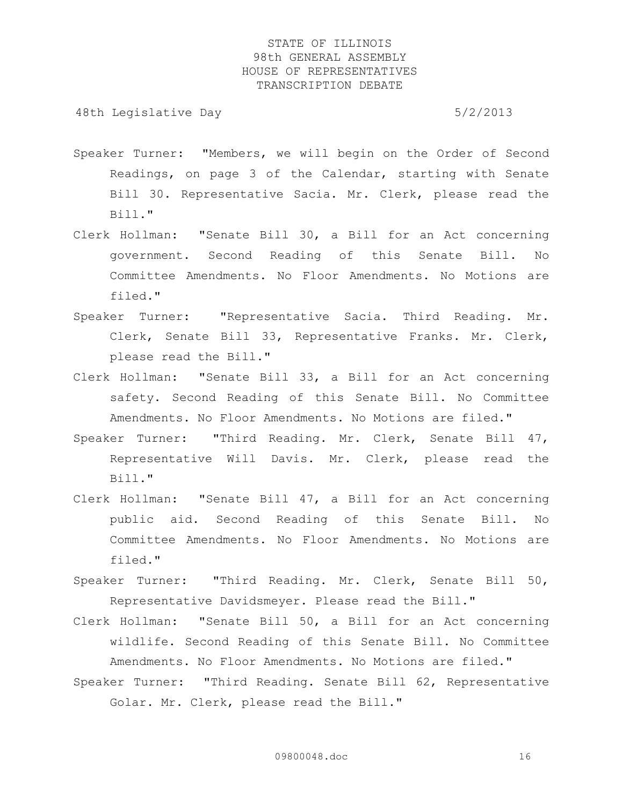- Speaker Turner: "Members, we will begin on the Order of Second Readings, on page 3 of the Calendar, starting with Senate Bill 30. Representative Sacia. Mr. Clerk, please read the Bill."
- Clerk Hollman: "Senate Bill 30, a Bill for an Act concerning government. Second Reading of this Senate Bill. No Committee Amendments. No Floor Amendments. No Motions are filed."
- Speaker Turner: "Representative Sacia. Third Reading. Mr. Clerk, Senate Bill 33, Representative Franks. Mr. Clerk, please read the Bill."
- Clerk Hollman: "Senate Bill 33, a Bill for an Act concerning safety. Second Reading of this Senate Bill. No Committee Amendments. No Floor Amendments. No Motions are filed."
- Speaker Turner: "Third Reading. Mr. Clerk, Senate Bill 47, Representative Will Davis. Mr. Clerk, please read the Bill."
- Clerk Hollman: "Senate Bill 47, a Bill for an Act concerning public aid. Second Reading of this Senate Bill. No Committee Amendments. No Floor Amendments. No Motions are filed."
- Speaker Turner: "Third Reading. Mr. Clerk, Senate Bill 50, Representative Davidsmeyer. Please read the Bill."
- Clerk Hollman: "Senate Bill 50, a Bill for an Act concerning wildlife. Second Reading of this Senate Bill. No Committee Amendments. No Floor Amendments. No Motions are filed."
- Speaker Turner: "Third Reading. Senate Bill 62, Representative Golar. Mr. Clerk, please read the Bill."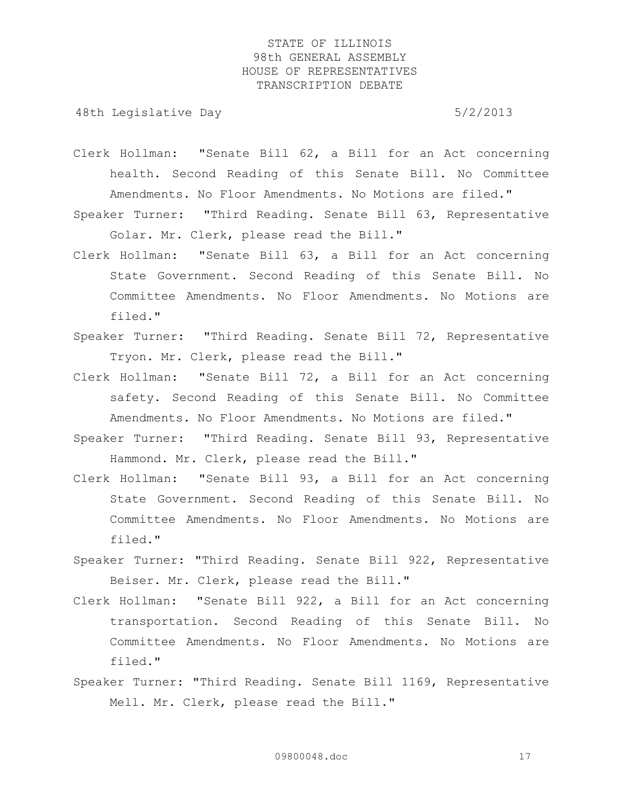- Clerk Hollman: "Senate Bill 62, a Bill for an Act concerning health. Second Reading of this Senate Bill. No Committee Amendments. No Floor Amendments. No Motions are filed."
- Speaker Turner: "Third Reading. Senate Bill 63, Representative Golar. Mr. Clerk, please read the Bill."
- Clerk Hollman: "Senate Bill 63, a Bill for an Act concerning State Government. Second Reading of this Senate Bill. No Committee Amendments. No Floor Amendments. No Motions are filed."
- Speaker Turner: "Third Reading. Senate Bill 72, Representative Tryon. Mr. Clerk, please read the Bill."
- Clerk Hollman: "Senate Bill 72, a Bill for an Act concerning safety. Second Reading of this Senate Bill. No Committee Amendments. No Floor Amendments. No Motions are filed."
- Speaker Turner: "Third Reading. Senate Bill 93, Representative Hammond. Mr. Clerk, please read the Bill."
- Clerk Hollman: "Senate Bill 93, a Bill for an Act concerning State Government. Second Reading of this Senate Bill. No Committee Amendments. No Floor Amendments. No Motions are filed."
- Speaker Turner: "Third Reading. Senate Bill 922, Representative Beiser. Mr. Clerk, please read the Bill."
- Clerk Hollman: "Senate Bill 922, a Bill for an Act concerning transportation. Second Reading of this Senate Bill. No Committee Amendments. No Floor Amendments. No Motions are filed."
- Speaker Turner: "Third Reading. Senate Bill 1169, Representative Mell. Mr. Clerk, please read the Bill."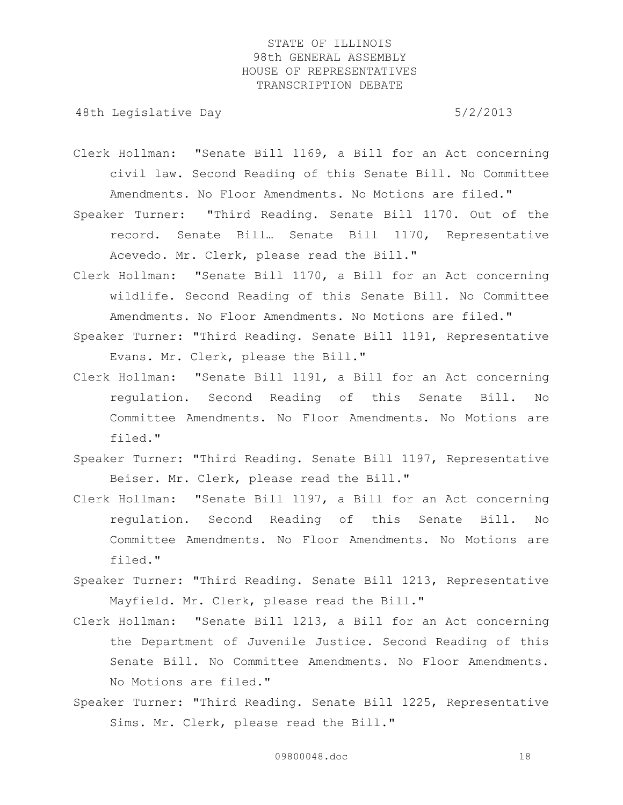- Clerk Hollman: "Senate Bill 1169, a Bill for an Act concerning civil law. Second Reading of this Senate Bill. No Committee Amendments. No Floor Amendments. No Motions are filed."
- Speaker Turner: "Third Reading. Senate Bill 1170. Out of the record. Senate Bill… Senate Bill 1170, Representative Acevedo. Mr. Clerk, please read the Bill."
- Clerk Hollman: "Senate Bill 1170, a Bill for an Act concerning wildlife. Second Reading of this Senate Bill. No Committee Amendments. No Floor Amendments. No Motions are filed."
- Speaker Turner: "Third Reading. Senate Bill 1191, Representative Evans. Mr. Clerk, please the Bill."
- Clerk Hollman: "Senate Bill 1191, a Bill for an Act concerning regulation. Second Reading of this Senate Bill. No Committee Amendments. No Floor Amendments. No Motions are filed."
- Speaker Turner: "Third Reading. Senate Bill 1197, Representative Beiser. Mr. Clerk, please read the Bill."
- Clerk Hollman: "Senate Bill 1197, a Bill for an Act concerning regulation. Second Reading of this Senate Bill. No Committee Amendments. No Floor Amendments. No Motions are filed."
- Speaker Turner: "Third Reading. Senate Bill 1213, Representative Mayfield. Mr. Clerk, please read the Bill."
- Clerk Hollman: "Senate Bill 1213, a Bill for an Act concerning the Department of Juvenile Justice. Second Reading of this Senate Bill. No Committee Amendments. No Floor Amendments. No Motions are filed."
- Speaker Turner: "Third Reading. Senate Bill 1225, Representative Sims. Mr. Clerk, please read the Bill."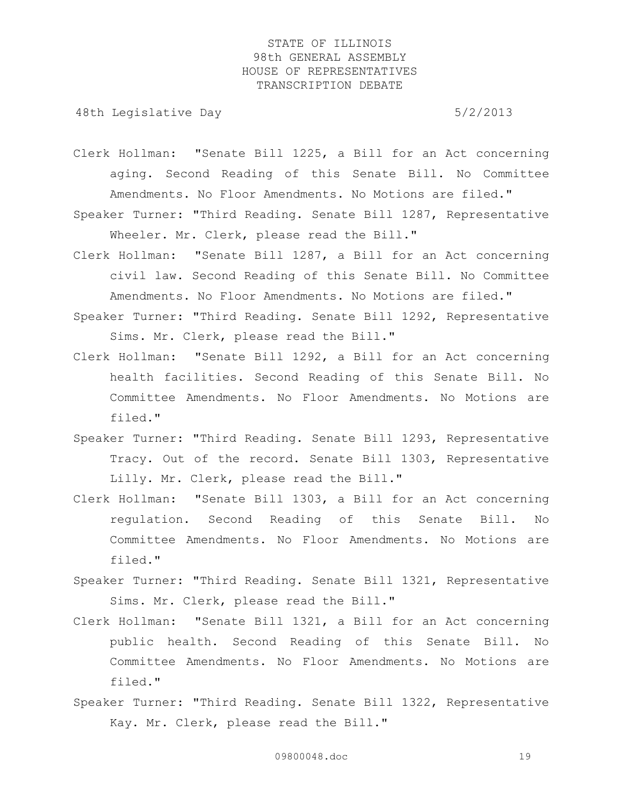- Clerk Hollman: "Senate Bill 1225, a Bill for an Act concerning aging. Second Reading of this Senate Bill. No Committee Amendments. No Floor Amendments. No Motions are filed."
- Speaker Turner: "Third Reading. Senate Bill 1287, Representative Wheeler. Mr. Clerk, please read the Bill."
- Clerk Hollman: "Senate Bill 1287, a Bill for an Act concerning civil law. Second Reading of this Senate Bill. No Committee Amendments. No Floor Amendments. No Motions are filed."
- Speaker Turner: "Third Reading. Senate Bill 1292, Representative Sims. Mr. Clerk, please read the Bill."
- Clerk Hollman: "Senate Bill 1292, a Bill for an Act concerning health facilities. Second Reading of this Senate Bill. No Committee Amendments. No Floor Amendments. No Motions are filed."
- Speaker Turner: "Third Reading. Senate Bill 1293, Representative Tracy. Out of the record. Senate Bill 1303, Representative Lilly. Mr. Clerk, please read the Bill."
- Clerk Hollman: "Senate Bill 1303, a Bill for an Act concerning regulation. Second Reading of this Senate Bill. No Committee Amendments. No Floor Amendments. No Motions are filed."
- Speaker Turner: "Third Reading. Senate Bill 1321, Representative Sims. Mr. Clerk, please read the Bill."
- Clerk Hollman: "Senate Bill 1321, a Bill for an Act concerning public health. Second Reading of this Senate Bill. No Committee Amendments. No Floor Amendments. No Motions are filed."
- Speaker Turner: "Third Reading. Senate Bill 1322, Representative Kay. Mr. Clerk, please read the Bill."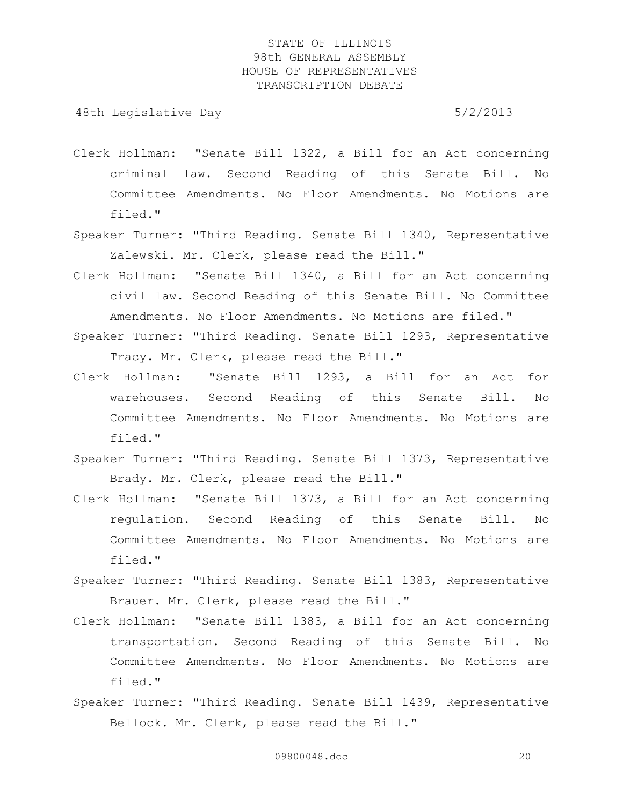- Clerk Hollman: "Senate Bill 1322, a Bill for an Act concerning criminal law. Second Reading of this Senate Bill. No Committee Amendments. No Floor Amendments. No Motions are filed."
- Speaker Turner: "Third Reading. Senate Bill 1340, Representative Zalewski. Mr. Clerk, please read the Bill."
- Clerk Hollman: "Senate Bill 1340, a Bill for an Act concerning civil law. Second Reading of this Senate Bill. No Committee Amendments. No Floor Amendments. No Motions are filed."
- Speaker Turner: "Third Reading. Senate Bill 1293, Representative Tracy. Mr. Clerk, please read the Bill."
- Clerk Hollman: "Senate Bill 1293, a Bill for an Act for warehouses. Second Reading of this Senate Bill. No Committee Amendments. No Floor Amendments. No Motions are filed."
- Speaker Turner: "Third Reading. Senate Bill 1373, Representative Brady. Mr. Clerk, please read the Bill."
- Clerk Hollman: "Senate Bill 1373, a Bill for an Act concerning regulation. Second Reading of this Senate Bill. No Committee Amendments. No Floor Amendments. No Motions are filed."
- Speaker Turner: "Third Reading. Senate Bill 1383, Representative Brauer. Mr. Clerk, please read the Bill."
- Clerk Hollman: "Senate Bill 1383, a Bill for an Act concerning transportation. Second Reading of this Senate Bill. No Committee Amendments. No Floor Amendments. No Motions are filed."
- Speaker Turner: "Third Reading. Senate Bill 1439, Representative Bellock. Mr. Clerk, please read the Bill."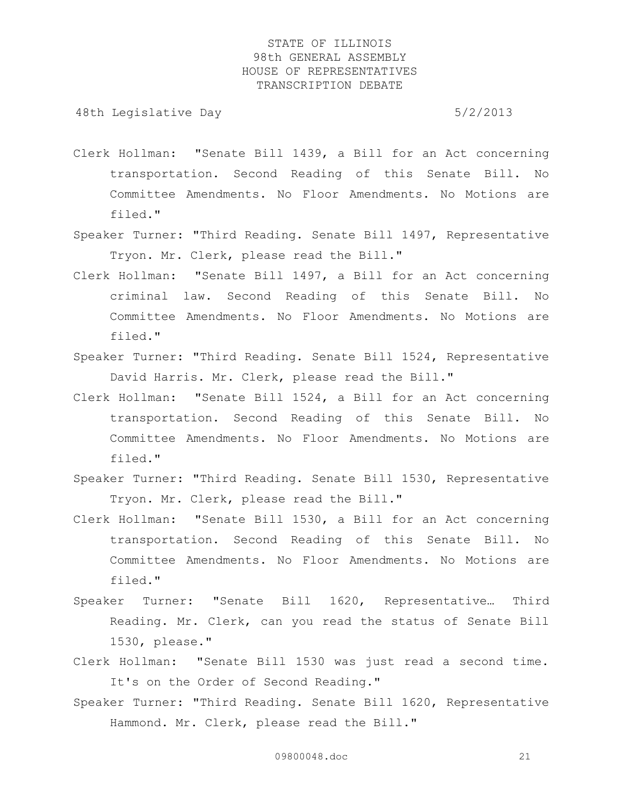- Clerk Hollman: "Senate Bill 1439, a Bill for an Act concerning transportation. Second Reading of this Senate Bill. No Committee Amendments. No Floor Amendments. No Motions are filed."
- Speaker Turner: "Third Reading. Senate Bill 1497, Representative Tryon. Mr. Clerk, please read the Bill."
- Clerk Hollman: "Senate Bill 1497, a Bill for an Act concerning criminal law. Second Reading of this Senate Bill. No Committee Amendments. No Floor Amendments. No Motions are filed."
- Speaker Turner: "Third Reading. Senate Bill 1524, Representative David Harris. Mr. Clerk, please read the Bill."
- Clerk Hollman: "Senate Bill 1524, a Bill for an Act concerning transportation. Second Reading of this Senate Bill. No Committee Amendments. No Floor Amendments. No Motions are filed."
- Speaker Turner: "Third Reading. Senate Bill 1530, Representative Tryon. Mr. Clerk, please read the Bill."
- Clerk Hollman: "Senate Bill 1530, a Bill for an Act concerning transportation. Second Reading of this Senate Bill. No Committee Amendments. No Floor Amendments. No Motions are filed."
- Speaker Turner: "Senate Bill 1620, Representative… Third Reading. Mr. Clerk, can you read the status of Senate Bill 1530, please."
- Clerk Hollman: "Senate Bill 1530 was just read a second time. It's on the Order of Second Reading."
- Speaker Turner: "Third Reading. Senate Bill 1620, Representative Hammond. Mr. Clerk, please read the Bill."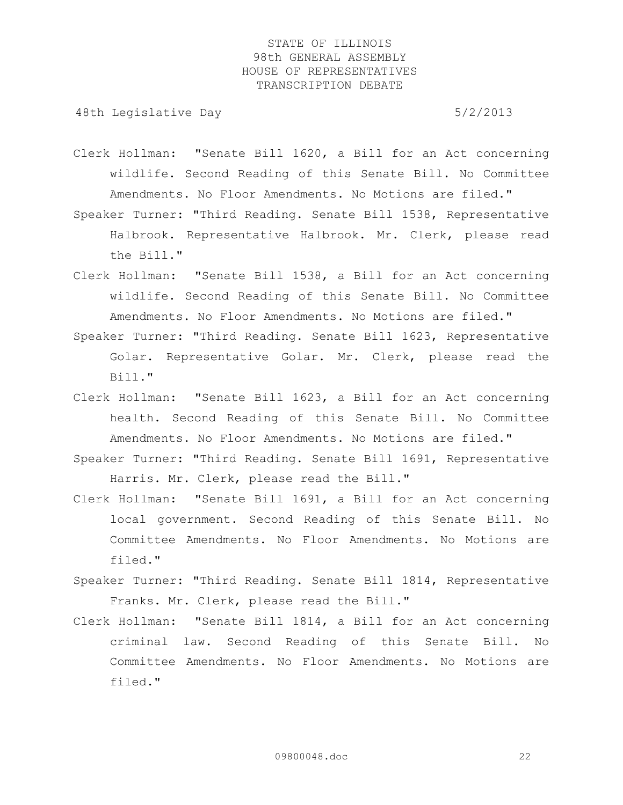- Clerk Hollman: "Senate Bill 1620, a Bill for an Act concerning wildlife. Second Reading of this Senate Bill. No Committee Amendments. No Floor Amendments. No Motions are filed."
- Speaker Turner: "Third Reading. Senate Bill 1538, Representative Halbrook. Representative Halbrook. Mr. Clerk, please read the Bill."
- Clerk Hollman: "Senate Bill 1538, a Bill for an Act concerning wildlife. Second Reading of this Senate Bill. No Committee Amendments. No Floor Amendments. No Motions are filed."
- Speaker Turner: "Third Reading. Senate Bill 1623, Representative Golar. Representative Golar. Mr. Clerk, please read the Bill."
- Clerk Hollman: "Senate Bill 1623, a Bill for an Act concerning health. Second Reading of this Senate Bill. No Committee Amendments. No Floor Amendments. No Motions are filed."
- Speaker Turner: "Third Reading. Senate Bill 1691, Representative Harris. Mr. Clerk, please read the Bill."
- Clerk Hollman: "Senate Bill 1691, a Bill for an Act concerning local government. Second Reading of this Senate Bill. No Committee Amendments. No Floor Amendments. No Motions are filed."
- Speaker Turner: "Third Reading. Senate Bill 1814, Representative Franks. Mr. Clerk, please read the Bill."
- Clerk Hollman: "Senate Bill 1814, a Bill for an Act concerning criminal law. Second Reading of this Senate Bill. No Committee Amendments. No Floor Amendments. No Motions are filed."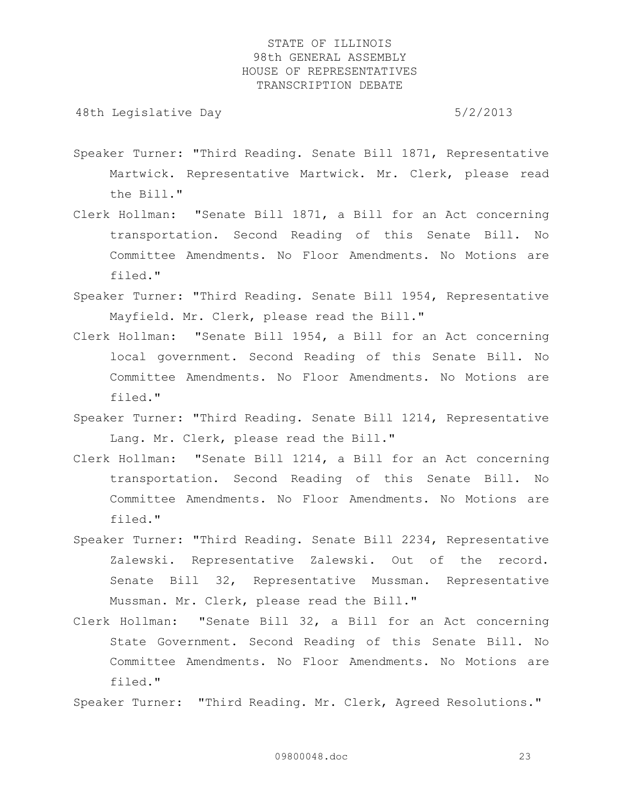48th Legislative Day 6/2/2013

- Speaker Turner: "Third Reading. Senate Bill 1871, Representative Martwick. Representative Martwick. Mr. Clerk, please read the Bill."
- Clerk Hollman: "Senate Bill 1871, a Bill for an Act concerning transportation. Second Reading of this Senate Bill. No Committee Amendments. No Floor Amendments. No Motions are filed."
- Speaker Turner: "Third Reading. Senate Bill 1954, Representative Mayfield. Mr. Clerk, please read the Bill."
- Clerk Hollman: "Senate Bill 1954, a Bill for an Act concerning local government. Second Reading of this Senate Bill. No Committee Amendments. No Floor Amendments. No Motions are filed."
- Speaker Turner: "Third Reading. Senate Bill 1214, Representative Lang. Mr. Clerk, please read the Bill."
- Clerk Hollman: "Senate Bill 1214, a Bill for an Act concerning transportation. Second Reading of this Senate Bill. No Committee Amendments. No Floor Amendments. No Motions are filed."
- Speaker Turner: "Third Reading. Senate Bill 2234, Representative Zalewski. Representative Zalewski. Out of the record. Senate Bill 32, Representative Mussman. Representative Mussman. Mr. Clerk, please read the Bill."
- Clerk Hollman: "Senate Bill 32, a Bill for an Act concerning State Government. Second Reading of this Senate Bill. No Committee Amendments. No Floor Amendments. No Motions are filed."

Speaker Turner: "Third Reading. Mr. Clerk, Agreed Resolutions."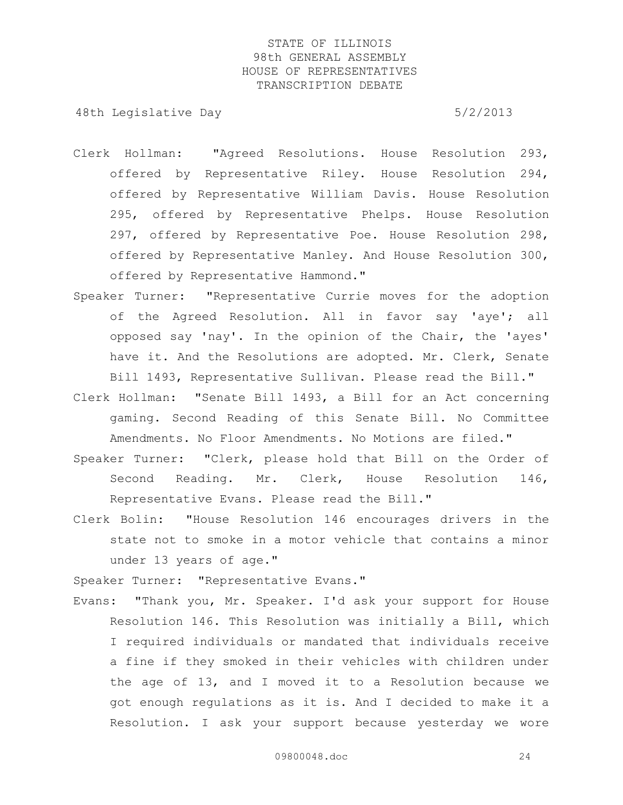48th Legislative Day 6/2/2013

- Clerk Hollman: "Agreed Resolutions. House Resolution 293, offered by Representative Riley. House Resolution 294, offered by Representative William Davis. House Resolution 295, offered by Representative Phelps. House Resolution 297, offered by Representative Poe. House Resolution 298, offered by Representative Manley. And House Resolution 300, offered by Representative Hammond."
- Speaker Turner: "Representative Currie moves for the adoption of the Agreed Resolution. All in favor say 'aye'; all opposed say 'nay'. In the opinion of the Chair, the 'ayes' have it. And the Resolutions are adopted. Mr. Clerk, Senate Bill 1493, Representative Sullivan. Please read the Bill."
- Clerk Hollman: "Senate Bill 1493, a Bill for an Act concerning gaming. Second Reading of this Senate Bill. No Committee Amendments. No Floor Amendments. No Motions are filed."
- Speaker Turner: "Clerk, please hold that Bill on the Order of Second Reading. Mr. Clerk, House Resolution 146, Representative Evans. Please read the Bill."
- Clerk Bolin: "House Resolution 146 encourages drivers in the state not to smoke in a motor vehicle that contains a minor under 13 years of age."

Speaker Turner: "Representative Evans."

Evans: "Thank you, Mr. Speaker. I'd ask your support for House Resolution 146. This Resolution was initially a Bill, which I required individuals or mandated that individuals receive a fine if they smoked in their vehicles with children under the age of 13, and I moved it to a Resolution because we got enough regulations as it is. And I decided to make it a Resolution. I ask your support because yesterday we wore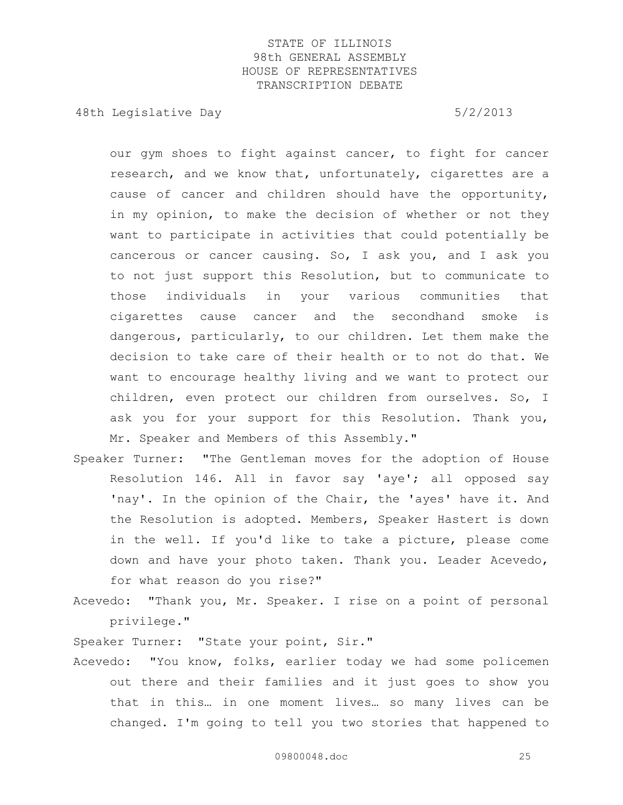48th Legislative Day 6/2/2013

our gym shoes to fight against cancer, to fight for cancer research, and we know that, unfortunately, cigarettes are a cause of cancer and children should have the opportunity, in my opinion, to make the decision of whether or not they want to participate in activities that could potentially be cancerous or cancer causing. So, I ask you, and I ask you to not just support this Resolution, but to communicate to those individuals in your various communities that cigarettes cause cancer and the secondhand smoke is dangerous, particularly, to our children. Let them make the decision to take care of their health or to not do that. We want to encourage healthy living and we want to protect our children, even protect our children from ourselves. So, I ask you for your support for this Resolution. Thank you, Mr. Speaker and Members of this Assembly."

- Speaker Turner: "The Gentleman moves for the adoption of House Resolution 146. All in favor say 'aye'; all opposed say 'nay'. In the opinion of the Chair, the 'ayes' have it. And the Resolution is adopted. Members, Speaker Hastert is down in the well. If you'd like to take a picture, please come down and have your photo taken. Thank you. Leader Acevedo, for what reason do you rise?"
- Acevedo: "Thank you, Mr. Speaker. I rise on a point of personal privilege."

Speaker Turner: "State your point, Sir."

Acevedo: "You know, folks, earlier today we had some policemen out there and their families and it just goes to show you that in this… in one moment lives… so many lives can be changed. I'm going to tell you two stories that happened to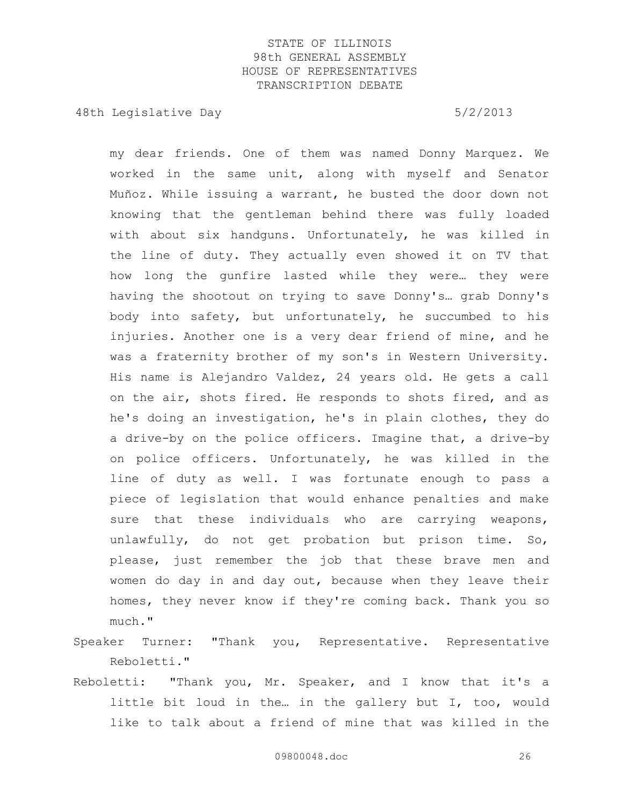48th Legislative Day 6/2/2013

my dear friends. One of them was named Donny Marquez. We worked in the same unit, along with myself and Senator Muñoz. While issuing a warrant, he busted the door down not knowing that the gentleman behind there was fully loaded with about six handguns. Unfortunately, he was killed in the line of duty. They actually even showed it on TV that how long the gunfire lasted while they were… they were having the shootout on trying to save Donny's… grab Donny's body into safety, but unfortunately, he succumbed to his injuries. Another one is a very dear friend of mine, and he was a fraternity brother of my son's in Western University. His name is Alejandro Valdez, 24 years old. He gets a call on the air, shots fired. He responds to shots fired, and as he's doing an investigation, he's in plain clothes, they do a drive-by on the police officers. Imagine that, a drive-by on police officers. Unfortunately, he was killed in the line of duty as well. I was fortunate enough to pass a piece of legislation that would enhance penalties and make sure that these individuals who are carrying weapons, unlawfully, do not get probation but prison time. So, please, just remember the job that these brave men and women do day in and day out, because when they leave their homes, they never know if they're coming back. Thank you so much."

- Speaker Turner: "Thank you, Representative. Representative Reboletti."
- Reboletti: "Thank you, Mr. Speaker, and I know that it's a little bit loud in the… in the gallery but I, too, would like to talk about a friend of mine that was killed in the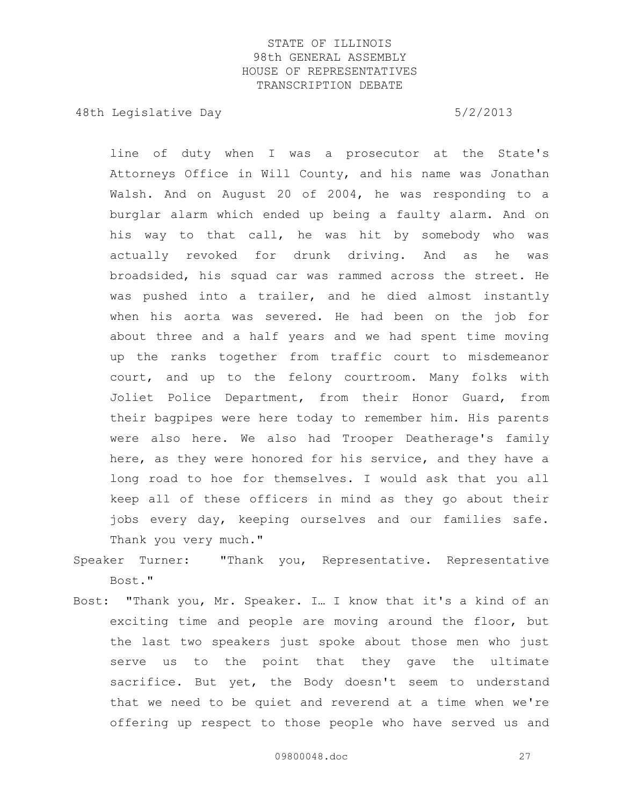48th Legislative Day 6/2/2013

line of duty when I was a prosecutor at the State's Attorneys Office in Will County, and his name was Jonathan Walsh. And on August 20 of 2004, he was responding to a burglar alarm which ended up being a faulty alarm. And on his way to that call, he was hit by somebody who was actually revoked for drunk driving. And as he was broadsided, his squad car was rammed across the street. He was pushed into a trailer, and he died almost instantly when his aorta was severed. He had been on the job for about three and a half years and we had spent time moving up the ranks together from traffic court to misdemeanor court, and up to the felony courtroom. Many folks with Joliet Police Department, from their Honor Guard, from their bagpipes were here today to remember him. His parents were also here. We also had Trooper Deatherage's family here, as they were honored for his service, and they have a long road to hoe for themselves. I would ask that you all keep all of these officers in mind as they go about their jobs every day, keeping ourselves and our families safe. Thank you very much."

- Speaker Turner: "Thank you, Representative. Representative Bost."
- Bost: "Thank you, Mr. Speaker. I… I know that it's a kind of an exciting time and people are moving around the floor, but the last two speakers just spoke about those men who just serve us to the point that they gave the ultimate sacrifice. But yet, the Body doesn't seem to understand that we need to be quiet and reverend at a time when we're offering up respect to those people who have served us and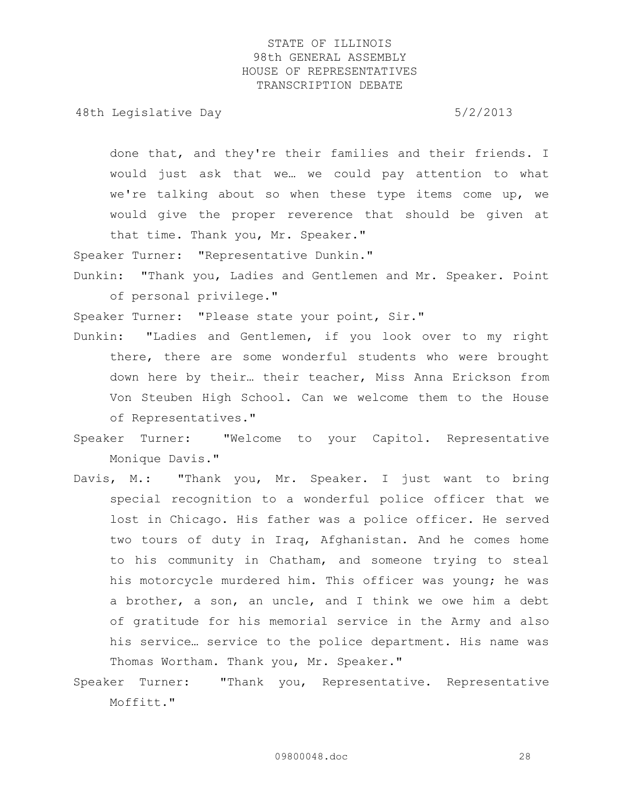48th Legislative Day 6/2/2013

done that, and they're their families and their friends. I would just ask that we… we could pay attention to what we're talking about so when these type items come up, we would give the proper reverence that should be given at that time. Thank you, Mr. Speaker."

Speaker Turner: "Representative Dunkin."

Dunkin: "Thank you, Ladies and Gentlemen and Mr. Speaker. Point of personal privilege."

Speaker Turner: "Please state your point, Sir."

- Dunkin: "Ladies and Gentlemen, if you look over to my right there, there are some wonderful students who were brought down here by their… their teacher, Miss Anna Erickson from Von Steuben High School. Can we welcome them to the House of Representatives."
- Speaker Turner: "Welcome to your Capitol. Representative Monique Davis."
- Davis, M.: "Thank you, Mr. Speaker. I just want to bring special recognition to a wonderful police officer that we lost in Chicago. His father was a police officer. He served two tours of duty in Iraq, Afghanistan. And he comes home to his community in Chatham, and someone trying to steal his motorcycle murdered him. This officer was young; he was a brother, a son, an uncle, and I think we owe him a debt of gratitude for his memorial service in the Army and also his service… service to the police department. His name was Thomas Wortham. Thank you, Mr. Speaker."
- Speaker Turner: "Thank you, Representative. Representative Moffitt."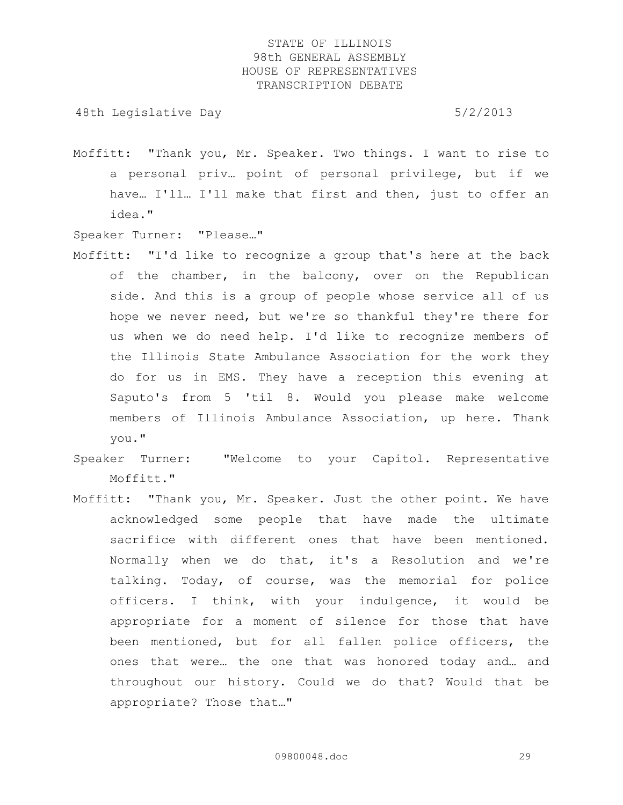48th Legislative Day 6/2/2013

Moffitt: "Thank you, Mr. Speaker. Two things. I want to rise to a personal priv… point of personal privilege, but if we have... I'll... I'll make that first and then, just to offer an idea."

Speaker Turner: "Please…"

- Moffitt: "I'd like to recognize a group that's here at the back of the chamber, in the balcony, over on the Republican side. And this is a group of people whose service all of us hope we never need, but we're so thankful they're there for us when we do need help. I'd like to recognize members of the Illinois State Ambulance Association for the work they do for us in EMS. They have a reception this evening at Saputo's from 5 'til 8. Would you please make welcome members of Illinois Ambulance Association, up here. Thank you."
- Speaker Turner: "Welcome to your Capitol. Representative Moffitt."
- Moffitt: "Thank you, Mr. Speaker. Just the other point. We have acknowledged some people that have made the ultimate sacrifice with different ones that have been mentioned. Normally when we do that, it's a Resolution and we're talking. Today, of course, was the memorial for police officers. I think, with your indulgence, it would be appropriate for a moment of silence for those that have been mentioned, but for all fallen police officers, the ones that were… the one that was honored today and… and throughout our history. Could we do that? Would that be appropriate? Those that…"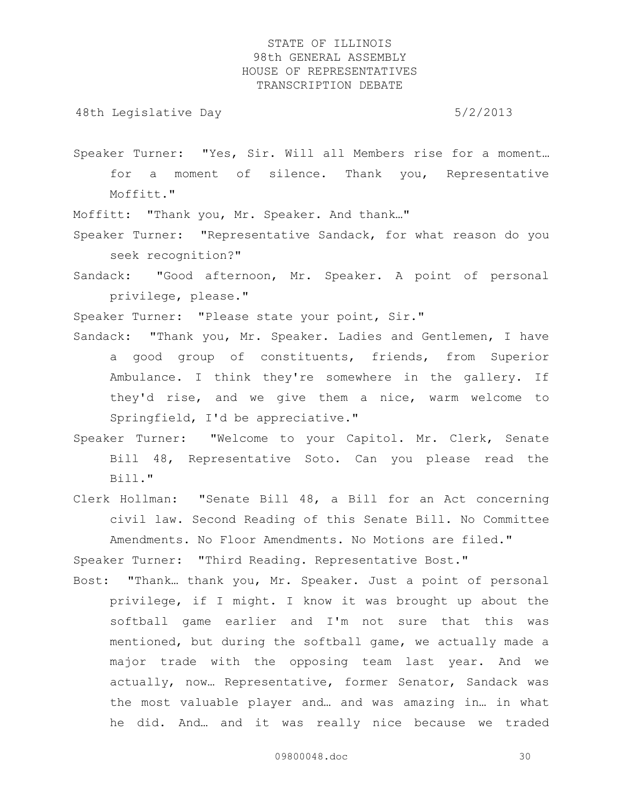48th Legislative Day 6/2/2013

Speaker Turner: "Yes, Sir. Will all Members rise for a moment… for a moment of silence. Thank you, Representative Moffitt."

Moffitt: "Thank you, Mr. Speaker. And thank…"

Speaker Turner: "Representative Sandack, for what reason do you seek recognition?"

Sandack: "Good afternoon, Mr. Speaker. A point of personal privilege, please."

Speaker Turner: "Please state your point, Sir."

- Sandack: "Thank you, Mr. Speaker. Ladies and Gentlemen, I have a good group of constituents, friends, from Superior Ambulance. I think they're somewhere in the gallery. If they'd rise, and we give them a nice, warm welcome to Springfield, I'd be appreciative."
- Speaker Turner: "Welcome to your Capitol. Mr. Clerk, Senate Bill 48, Representative Soto. Can you please read the Bill."
- Clerk Hollman: "Senate Bill 48, a Bill for an Act concerning civil law. Second Reading of this Senate Bill. No Committee Amendments. No Floor Amendments. No Motions are filed."

Speaker Turner: "Third Reading. Representative Bost."

Bost: "Thank… thank you, Mr. Speaker. Just a point of personal privilege, if I might. I know it was brought up about the softball game earlier and I'm not sure that this was mentioned, but during the softball game, we actually made a major trade with the opposing team last year. And we actually, now… Representative, former Senator, Sandack was the most valuable player and… and was amazing in… in what he did. And… and it was really nice because we traded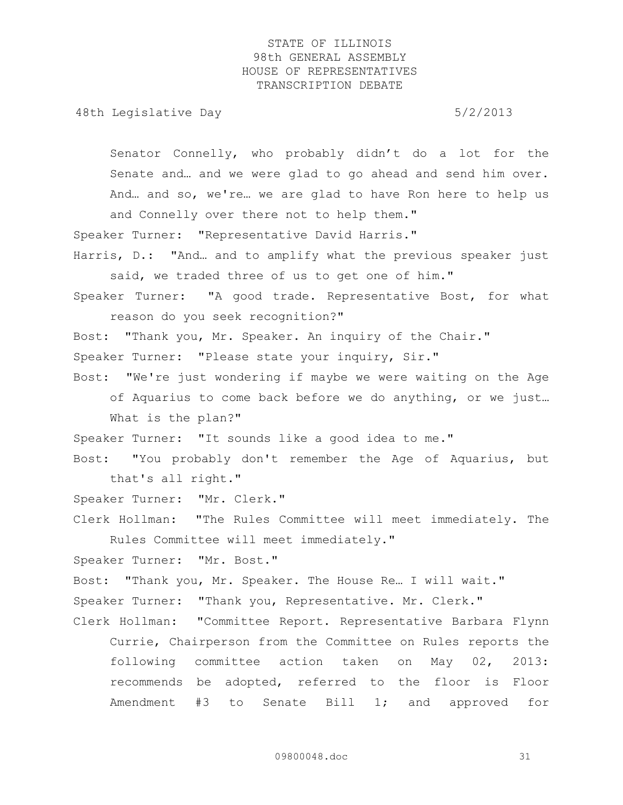48th Legislative Day 6/2/2013

Senator Connelly, who probably didn't do a lot for the Senate and… and we were glad to go ahead and send him over. And… and so, we're… we are glad to have Ron here to help us and Connelly over there not to help them."

Speaker Turner: "Representative David Harris."

Harris, D.: "And… and to amplify what the previous speaker just said, we traded three of us to get one of him."

Speaker Turner: "A good trade. Representative Bost, for what reason do you seek recognition?"

Bost: "Thank you, Mr. Speaker. An inquiry of the Chair."

Speaker Turner: "Please state your inquiry, Sir."

Bost: "We're just wondering if maybe we were waiting on the Age of Aquarius to come back before we do anything, or we just… What is the plan?"

Speaker Turner: "It sounds like a good idea to me."

Bost: "You probably don't remember the Age of Aquarius, but that's all right."

Speaker Turner: "Mr. Clerk."

Clerk Hollman: "The Rules Committee will meet immediately. The Rules Committee will meet immediately."

Speaker Turner: "Mr. Bost."

Bost: "Thank you, Mr. Speaker. The House Re… I will wait."

Speaker Turner: "Thank you, Representative. Mr. Clerk."

Clerk Hollman: "Committee Report. Representative Barbara Flynn Currie, Chairperson from the Committee on Rules reports the following committee action taken on May 02, 2013: recommends be adopted, referred to the floor is Floor Amendment #3 to Senate Bill 1; and approved for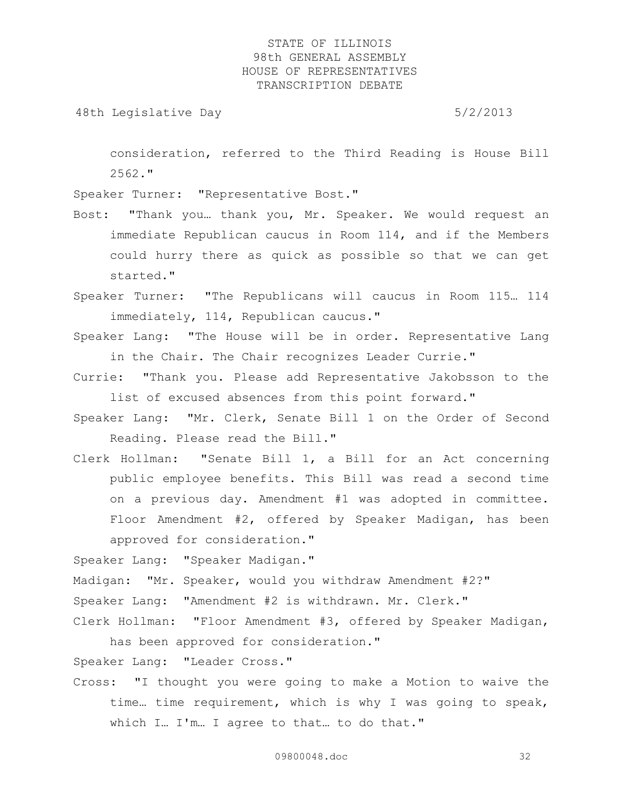48th Legislative Day 6/2/2013

consideration, referred to the Third Reading is House Bill 2562."

Speaker Turner: "Representative Bost."

- Bost: "Thank you… thank you, Mr. Speaker. We would request an immediate Republican caucus in Room 114, and if the Members could hurry there as quick as possible so that we can get started."
- Speaker Turner: "The Republicans will caucus in Room 115… 114 immediately, 114, Republican caucus."
- Speaker Lang: "The House will be in order. Representative Lang in the Chair. The Chair recognizes Leader Currie."
- Currie: "Thank you. Please add Representative Jakobsson to the list of excused absences from this point forward."
- Speaker Lang: "Mr. Clerk, Senate Bill 1 on the Order of Second Reading. Please read the Bill."
- Clerk Hollman: "Senate Bill 1, a Bill for an Act concerning public employee benefits. This Bill was read a second time on a previous day. Amendment #1 was adopted in committee. Floor Amendment #2, offered by Speaker Madigan, has been approved for consideration."

Speaker Lang: "Speaker Madigan."

Madigan: "Mr. Speaker, would you withdraw Amendment #2?"

Speaker Lang: "Amendment #2 is withdrawn. Mr. Clerk."

Clerk Hollman: "Floor Amendment #3, offered by Speaker Madigan, has been approved for consideration."

Speaker Lang: "Leader Cross."

Cross: "I thought you were going to make a Motion to waive the time… time requirement, which is why I was going to speak, which I… I'm… I agree to that… to do that."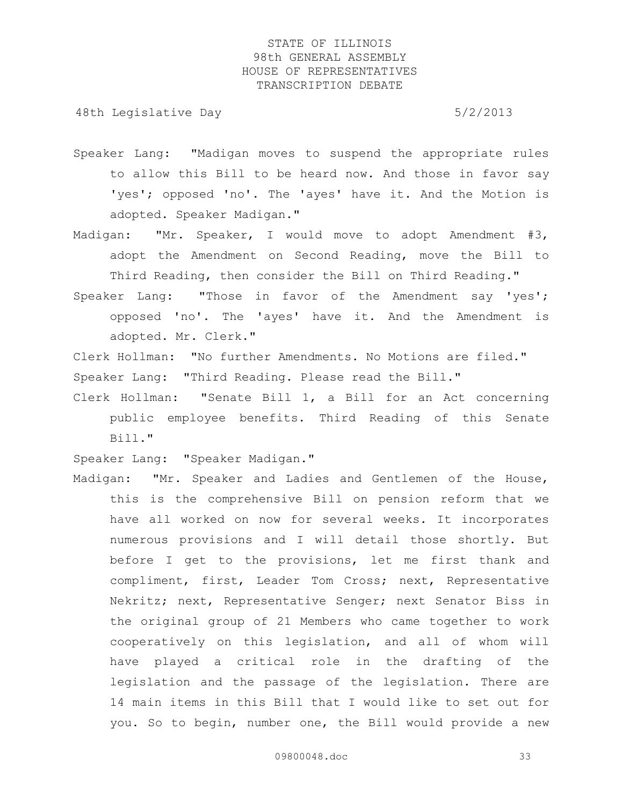48th Legislative Day 6/2/2013

- Speaker Lang: "Madigan moves to suspend the appropriate rules to allow this Bill to be heard now. And those in favor say 'yes'; opposed 'no'. The 'ayes' have it. And the Motion is adopted. Speaker Madigan."
- Madigan: "Mr. Speaker, I would move to adopt Amendment #3, adopt the Amendment on Second Reading, move the Bill to Third Reading, then consider the Bill on Third Reading."
- Speaker Lang: "Those in favor of the Amendment say 'yes'; opposed 'no'. The 'ayes' have it. And the Amendment is adopted. Mr. Clerk."
- Clerk Hollman: "No further Amendments. No Motions are filed." Speaker Lang: "Third Reading. Please read the Bill."
- Clerk Hollman: "Senate Bill 1, a Bill for an Act concerning public employee benefits. Third Reading of this Senate Bill."

Speaker Lang: "Speaker Madigan."

Madigan: "Mr. Speaker and Ladies and Gentlemen of the House, this is the comprehensive Bill on pension reform that we have all worked on now for several weeks. It incorporates numerous provisions and I will detail those shortly. But before I get to the provisions, let me first thank and compliment, first, Leader Tom Cross; next, Representative Nekritz; next, Representative Senger; next Senator Biss in the original group of 21 Members who came together to work cooperatively on this legislation, and all of whom will have played a critical role in the drafting of the legislation and the passage of the legislation. There are 14 main items in this Bill that I would like to set out for you. So to begin, number one, the Bill would provide a new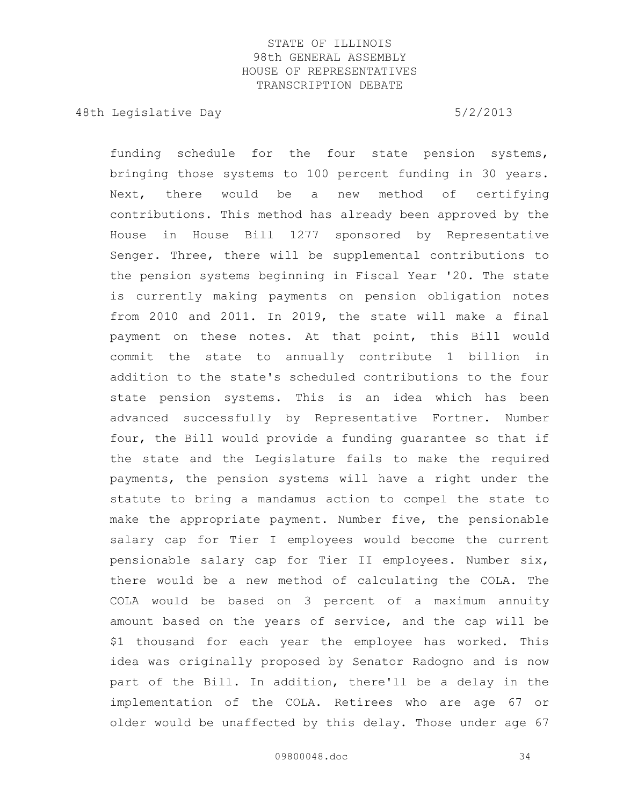48th Legislative Day 6/2/2013

funding schedule for the four state pension systems, bringing those systems to 100 percent funding in 30 years. Next, there would be a new method of certifying contributions. This method has already been approved by the House in House Bill 1277 sponsored by Representative Senger. Three, there will be supplemental contributions to the pension systems beginning in Fiscal Year '20. The state is currently making payments on pension obligation notes from 2010 and 2011. In 2019, the state will make a final payment on these notes. At that point, this Bill would commit the state to annually contribute 1 billion in addition to the state's scheduled contributions to the four state pension systems. This is an idea which has been advanced successfully by Representative Fortner. Number four, the Bill would provide a funding guarantee so that if the state and the Legislature fails to make the required payments, the pension systems will have a right under the statute to bring a mandamus action to compel the state to make the appropriate payment. Number five, the pensionable salary cap for Tier I employees would become the current pensionable salary cap for Tier II employees. Number six, there would be a new method of calculating the COLA. The COLA would be based on 3 percent of a maximum annuity amount based on the years of service, and the cap will be \$1 thousand for each year the employee has worked. This idea was originally proposed by Senator Radogno and is now part of the Bill. In addition, there'll be a delay in the implementation of the COLA. Retirees who are age 67 or older would be unaffected by this delay. Those under age 67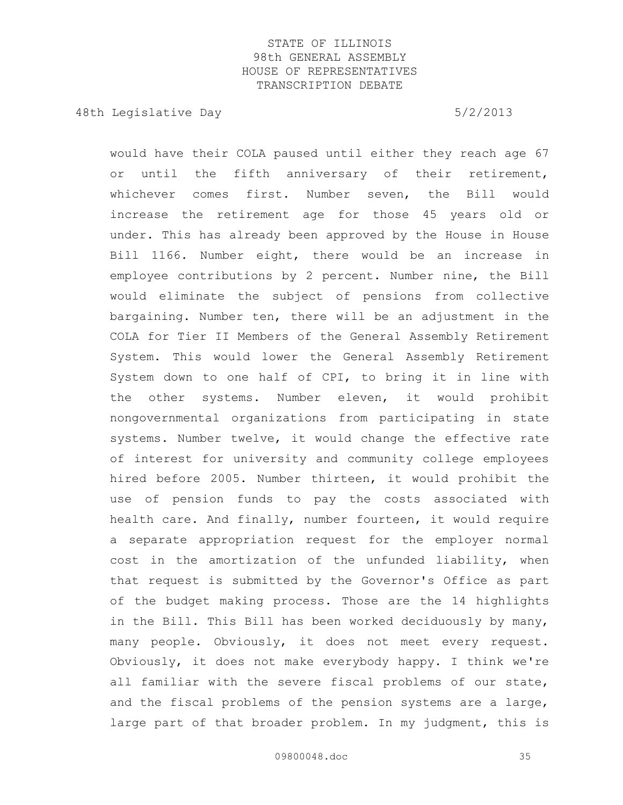48th Legislative Day 6/2/2013

would have their COLA paused until either they reach age 67 or until the fifth anniversary of their retirement, whichever comes first. Number seven, the Bill would increase the retirement age for those 45 years old or under. This has already been approved by the House in House Bill 1166. Number eight, there would be an increase in employee contributions by 2 percent. Number nine, the Bill would eliminate the subject of pensions from collective bargaining. Number ten, there will be an adjustment in the COLA for Tier II Members of the General Assembly Retirement System. This would lower the General Assembly Retirement System down to one half of CPI, to bring it in line with the other systems. Number eleven, it would prohibit nongovernmental organizations from participating in state systems. Number twelve, it would change the effective rate of interest for university and community college employees hired before 2005. Number thirteen, it would prohibit the use of pension funds to pay the costs associated with health care. And finally, number fourteen, it would require a separate appropriation request for the employer normal cost in the amortization of the unfunded liability, when that request is submitted by the Governor's Office as part of the budget making process. Those are the 14 highlights in the Bill. This Bill has been worked deciduously by many, many people. Obviously, it does not meet every request. Obviously, it does not make everybody happy. I think we're all familiar with the severe fiscal problems of our state, and the fiscal problems of the pension systems are a large, large part of that broader problem. In my judgment, this is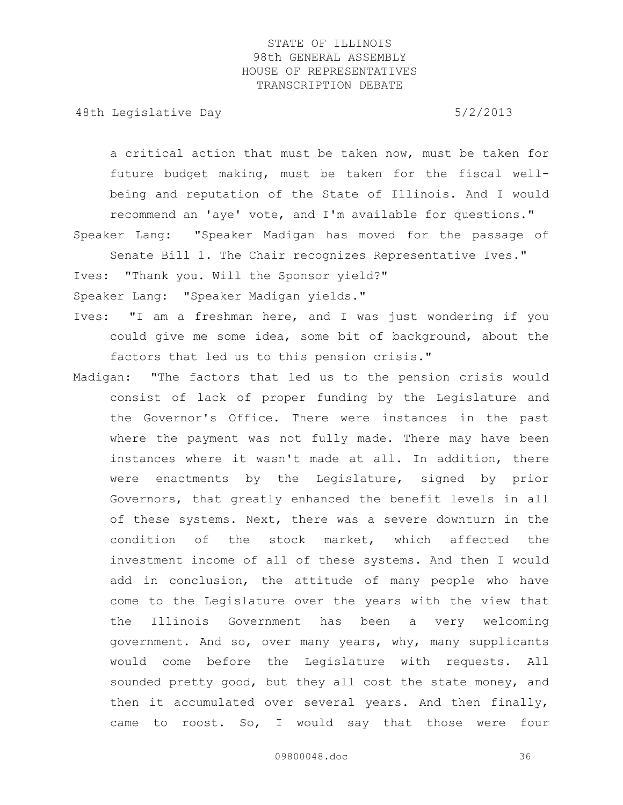48th Legislative Day 6/2/2013

a critical action that must be taken now, must be taken for future budget making, must be taken for the fiscal wellbeing and reputation of the State of Illinois. And I would recommend an 'aye' vote, and I'm available for questions."

Speaker Lang: "Speaker Madigan has moved for the passage of

Senate Bill 1. The Chair recognizes Representative Ives."

Ives: "Thank you. Will the Sponsor yield?"

Speaker Lang: "Speaker Madigan yields."

- Ives: "I am a freshman here, and I was just wondering if you could give me some idea, some bit of background, about the factors that led us to this pension crisis."
- Madigan: "The factors that led us to the pension crisis would consist of lack of proper funding by the Legislature and the Governor's Office. There were instances in the past where the payment was not fully made. There may have been instances where it wasn't made at all. In addition, there were enactments by the Legislature, signed by prior Governors, that greatly enhanced the benefit levels in all of these systems. Next, there was a severe downturn in the condition of the stock market, which affected the investment income of all of these systems. And then I would add in conclusion, the attitude of many people who have come to the Legislature over the years with the view that the Illinois Government has been a very welcoming government. And so, over many years, why, many supplicants would come before the Legislature with requests. All sounded pretty good, but they all cost the state money, and then it accumulated over several years. And then finally, came to roost. So, I would say that those were four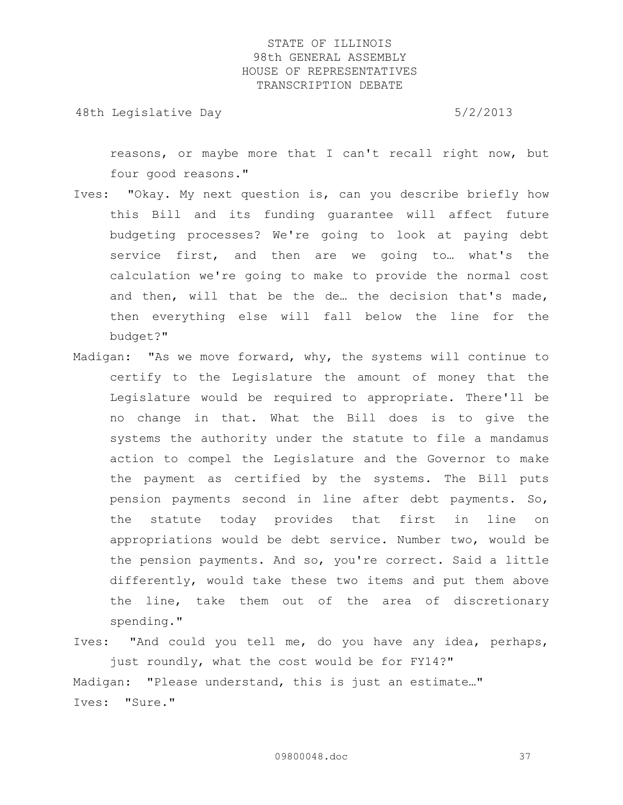48th Legislative Day 6/2/2013

reasons, or maybe more that I can't recall right now, but four good reasons."

- Ives: "Okay. My next question is, can you describe briefly how this Bill and its funding guarantee will affect future budgeting processes? We're going to look at paying debt service first, and then are we going to… what's the calculation we're going to make to provide the normal cost and then, will that be the de… the decision that's made, then everything else will fall below the line for the budget?"
- Madigan: "As we move forward, why, the systems will continue to certify to the Legislature the amount of money that the Legislature would be required to appropriate. There'll be no change in that. What the Bill does is to give the systems the authority under the statute to file a mandamus action to compel the Legislature and the Governor to make the payment as certified by the systems. The Bill puts pension payments second in line after debt payments. So, the statute today provides that first in line on appropriations would be debt service. Number two, would be the pension payments. And so, you're correct. Said a little differently, would take these two items and put them above the line, take them out of the area of discretionary spending."
- Ives: "And could you tell me, do you have any idea, perhaps, just roundly, what the cost would be for FY14?" Madigan: "Please understand, this is just an estimate…" Ives: "Sure."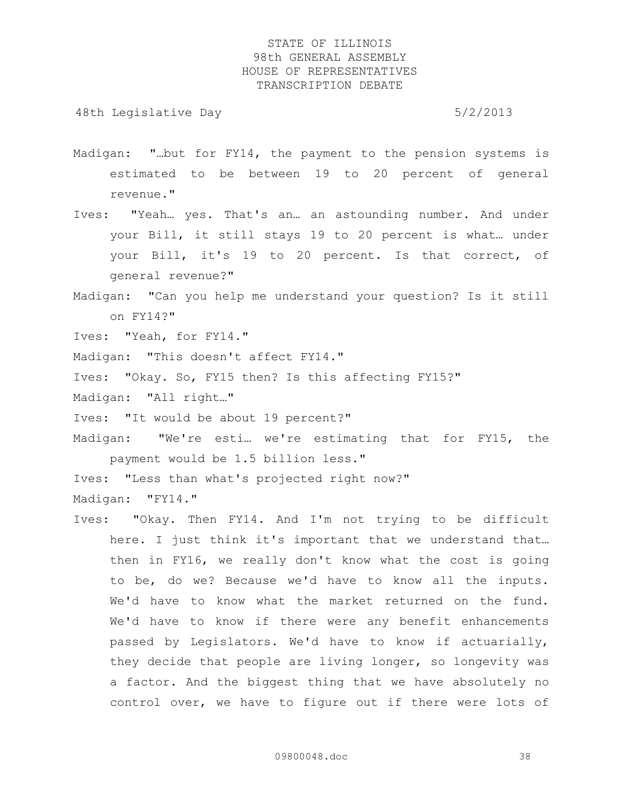48th Legislative Day 6/2/2013

- Madigan: "…but for FY14, the payment to the pension systems is estimated to be between 19 to 20 percent of general revenue."
- Ives: "Yeah… yes. That's an… an astounding number. And under your Bill, it still stays 19 to 20 percent is what… under your Bill, it's 19 to 20 percent. Is that correct, of general revenue?"
- Madigan: "Can you help me understand your question? Is it still on FY14?"
- Ives: "Yeah, for FY14."
- Madigan: "This doesn't affect FY14."
- Ives: "Okay. So, FY15 then? Is this affecting FY15?"
- Madigan: "All right…"
- Ives: "It would be about 19 percent?"
- Madigan: "We're esti… we're estimating that for FY15, the payment would be 1.5 billion less."

Ives: "Less than what's projected right now?"

Madigan: "FY14."

Ives: "Okay. Then FY14. And I'm not trying to be difficult here. I just think it's important that we understand that… then in FY16, we really don't know what the cost is going to be, do we? Because we'd have to know all the inputs. We'd have to know what the market returned on the fund. We'd have to know if there were any benefit enhancements passed by Legislators. We'd have to know if actuarially, they decide that people are living longer, so longevity was a factor. And the biggest thing that we have absolutely no control over, we have to figure out if there were lots of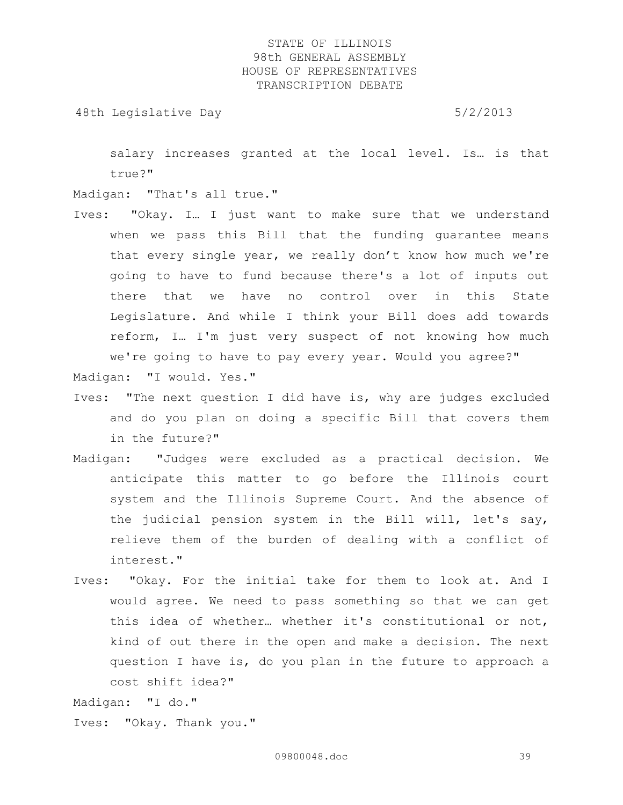48th Legislative Day 6/2/2013

salary increases granted at the local level. Is… is that true?"

Madigan: "That's all true."

Ives: "Okay. I… I just want to make sure that we understand when we pass this Bill that the funding guarantee means that every single year, we really don't know how much we're going to have to fund because there's a lot of inputs out there that we have no control over in this State Legislature. And while I think your Bill does add towards reform, I… I'm just very suspect of not knowing how much we're going to have to pay every year. Would you agree?"

Madigan: "I would. Yes."

- Ives: "The next question I did have is, why are judges excluded and do you plan on doing a specific Bill that covers them in the future?"
- Madigan: "Judges were excluded as a practical decision. We anticipate this matter to go before the Illinois court system and the Illinois Supreme Court. And the absence of the judicial pension system in the Bill will, let's say, relieve them of the burden of dealing with a conflict of interest."
- Ives: "Okay. For the initial take for them to look at. And I would agree. We need to pass something so that we can get this idea of whether… whether it's constitutional or not, kind of out there in the open and make a decision. The next question I have is, do you plan in the future to approach a cost shift idea?"

Madigan: "I do."

Ives: "Okay. Thank you."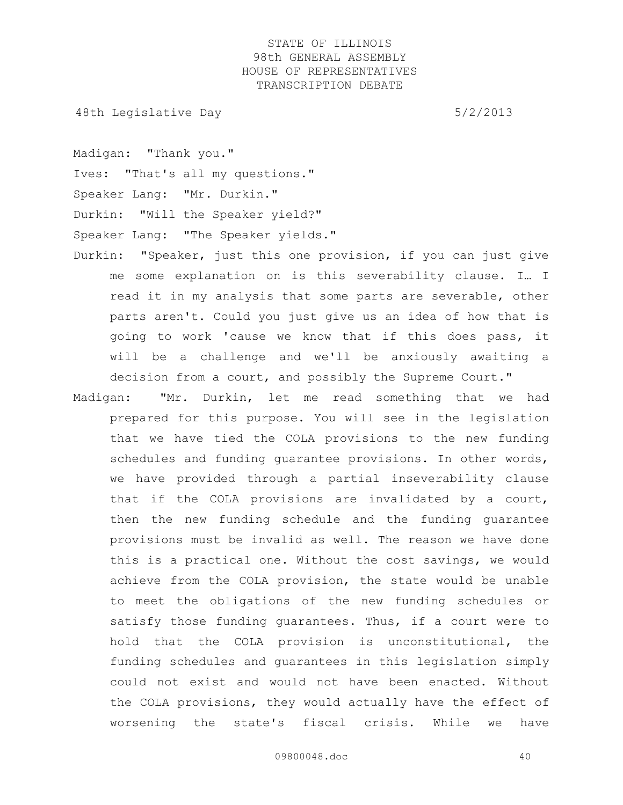48th Legislative Day 6/2/2013

Madigan: "Thank you."

Ives: "That's all my questions."

Speaker Lang: "Mr. Durkin."

Durkin: "Will the Speaker yield?"

Speaker Lang: "The Speaker yields."

- Durkin: "Speaker, just this one provision, if you can just give me some explanation on is this severability clause. I… I read it in my analysis that some parts are severable, other parts aren't. Could you just give us an idea of how that is going to work 'cause we know that if this does pass, it will be a challenge and we'll be anxiously awaiting a decision from a court, and possibly the Supreme Court."
- Madigan: "Mr. Durkin, let me read something that we had prepared for this purpose. You will see in the legislation that we have tied the COLA provisions to the new funding schedules and funding guarantee provisions. In other words, we have provided through a partial inseverability clause that if the COLA provisions are invalidated by a court, then the new funding schedule and the funding guarantee provisions must be invalid as well. The reason we have done this is a practical one. Without the cost savings, we would achieve from the COLA provision, the state would be unable to meet the obligations of the new funding schedules or satisfy those funding guarantees. Thus, if a court were to hold that the COLA provision is unconstitutional, the funding schedules and guarantees in this legislation simply could not exist and would not have been enacted. Without the COLA provisions, they would actually have the effect of worsening the state's fiscal crisis. While we have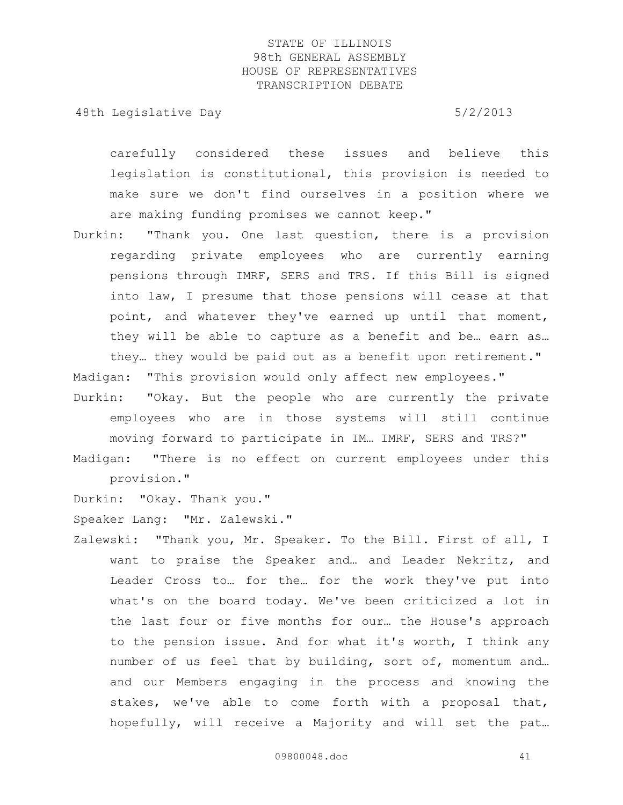48th Legislative Day 6/2/2013

carefully considered these issues and believe this legislation is constitutional, this provision is needed to make sure we don't find ourselves in a position where we are making funding promises we cannot keep."

Durkin: "Thank you. One last question, there is a provision regarding private employees who are currently earning pensions through IMRF, SERS and TRS. If this Bill is signed into law, I presume that those pensions will cease at that point, and whatever they've earned up until that moment, they will be able to capture as a benefit and be… earn as… they… they would be paid out as a benefit upon retirement."

Madigan: "This provision would only affect new employees."

Durkin: "Okay. But the people who are currently the private employees who are in those systems will still continue moving forward to participate in IM… IMRF, SERS and TRS?" Madigan: "There is no effect on current employees under this

provision."

Durkin: "Okay. Thank you."

Speaker Lang: "Mr. Zalewski."

Zalewski: "Thank you, Mr. Speaker. To the Bill. First of all, I want to praise the Speaker and… and Leader Nekritz, and Leader Cross to… for the… for the work they've put into what's on the board today. We've been criticized a lot in the last four or five months for our… the House's approach to the pension issue. And for what it's worth, I think any number of us feel that by building, sort of, momentum and… and our Members engaging in the process and knowing the stakes, we've able to come forth with a proposal that, hopefully, will receive a Majority and will set the pat…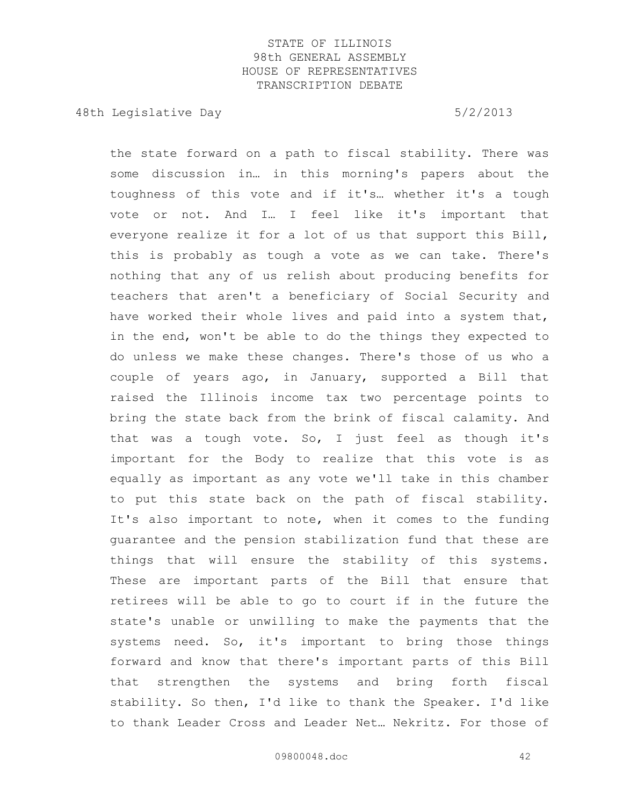48th Legislative Day 6/2/2013

the state forward on a path to fiscal stability. There was some discussion in… in this morning's papers about the toughness of this vote and if it's… whether it's a tough vote or not. And I… I feel like it's important that everyone realize it for a lot of us that support this Bill, this is probably as tough a vote as we can take. There's nothing that any of us relish about producing benefits for teachers that aren't a beneficiary of Social Security and have worked their whole lives and paid into a system that, in the end, won't be able to do the things they expected to do unless we make these changes. There's those of us who a couple of years ago, in January, supported a Bill that raised the Illinois income tax two percentage points to bring the state back from the brink of fiscal calamity. And that was a tough vote. So, I just feel as though it's important for the Body to realize that this vote is as equally as important as any vote we'll take in this chamber to put this state back on the path of fiscal stability. It's also important to note, when it comes to the funding guarantee and the pension stabilization fund that these are things that will ensure the stability of this systems. These are important parts of the Bill that ensure that retirees will be able to go to court if in the future the state's unable or unwilling to make the payments that the systems need. So, it's important to bring those things forward and know that there's important parts of this Bill that strengthen the systems and bring forth fiscal stability. So then, I'd like to thank the Speaker. I'd like to thank Leader Cross and Leader Net… Nekritz. For those of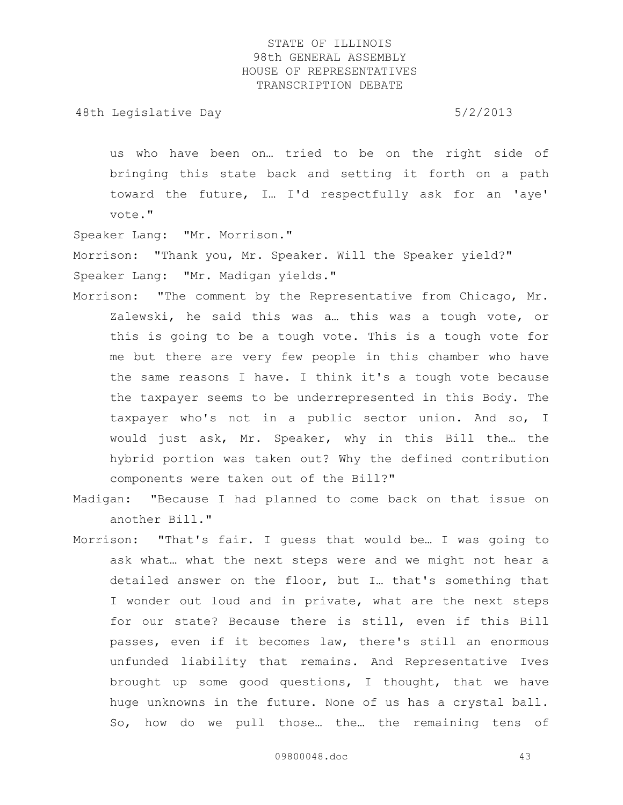48th Legislative Day 6/2/2013

us who have been on… tried to be on the right side of bringing this state back and setting it forth on a path toward the future, I… I'd respectfully ask for an 'aye' vote."

Speaker Lang: "Mr. Morrison."

Morrison: "Thank you, Mr. Speaker. Will the Speaker yield?" Speaker Lang: "Mr. Madigan yields."

- Morrison: "The comment by the Representative from Chicago, Mr. Zalewski, he said this was a… this was a tough vote, or this is going to be a tough vote. This is a tough vote for me but there are very few people in this chamber who have the same reasons I have. I think it's a tough vote because the taxpayer seems to be underrepresented in this Body. The taxpayer who's not in a public sector union. And so, I would just ask, Mr. Speaker, why in this Bill the… the hybrid portion was taken out? Why the defined contribution components were taken out of the Bill?"
- Madigan: "Because I had planned to come back on that issue on another Bill."
- Morrison: "That's fair. I guess that would be… I was going to ask what… what the next steps were and we might not hear a detailed answer on the floor, but I… that's something that I wonder out loud and in private, what are the next steps for our state? Because there is still, even if this Bill passes, even if it becomes law, there's still an enormous unfunded liability that remains. And Representative Ives brought up some good questions, I thought, that we have huge unknowns in the future. None of us has a crystal ball. So, how do we pull those… the… the remaining tens of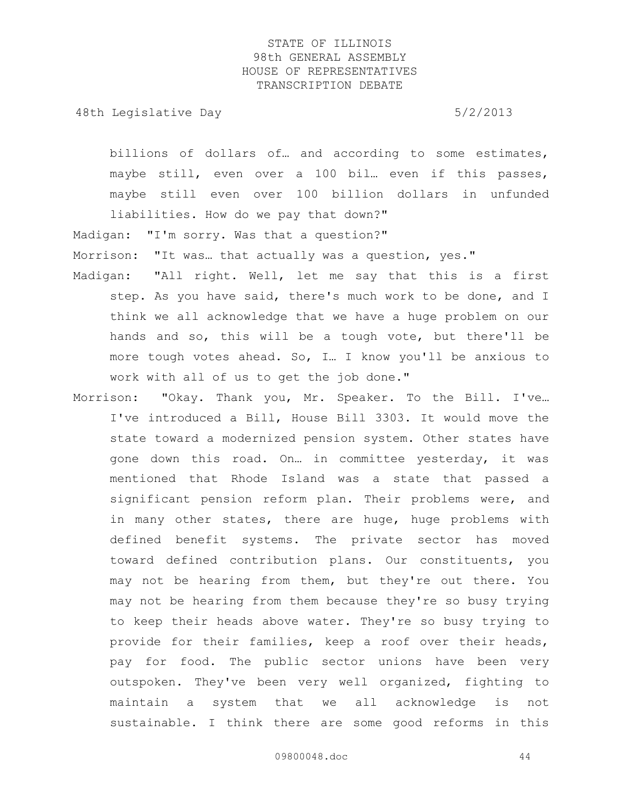48th Legislative Day 6/2/2013

billions of dollars of… and according to some estimates, maybe still, even over a 100 bil. even if this passes, maybe still even over 100 billion dollars in unfunded liabilities. How do we pay that down?"

Madigan: "I'm sorry. Was that a question?"

Morrison: "It was… that actually was a question, yes."

- Madigan: "All right. Well, let me say that this is a first step. As you have said, there's much work to be done, and I think we all acknowledge that we have a huge problem on our hands and so, this will be a tough vote, but there'll be more tough votes ahead. So, I… I know you'll be anxious to work with all of us to get the job done."
- Morrison: "Okay. Thank you, Mr. Speaker. To the Bill. I've… I've introduced a Bill, House Bill 3303. It would move the state toward a modernized pension system. Other states have gone down this road. On… in committee yesterday, it was mentioned that Rhode Island was a state that passed a significant pension reform plan. Their problems were, and in many other states, there are huge, huge problems with defined benefit systems. The private sector has moved toward defined contribution plans. Our constituents, you may not be hearing from them, but they're out there. You may not be hearing from them because they're so busy trying to keep their heads above water. They're so busy trying to provide for their families, keep a roof over their heads, pay for food. The public sector unions have been very outspoken. They've been very well organized, fighting to maintain a system that we all acknowledge is not sustainable. I think there are some good reforms in this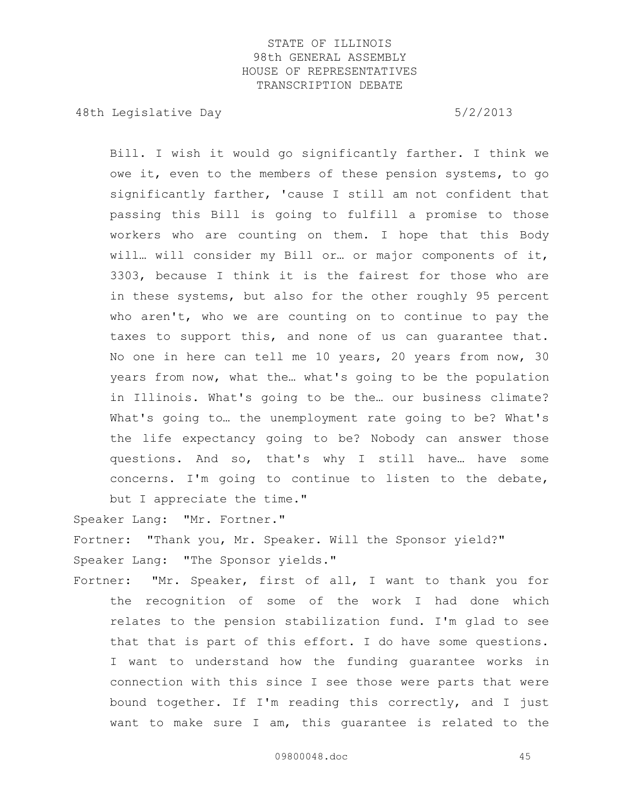48th Legislative Day 6/2/2013

Bill. I wish it would go significantly farther. I think we owe it, even to the members of these pension systems, to go significantly farther, 'cause I still am not confident that passing this Bill is going to fulfill a promise to those workers who are counting on them. I hope that this Body will… will consider my Bill or… or major components of it, 3303, because I think it is the fairest for those who are in these systems, but also for the other roughly 95 percent who aren't, who we are counting on to continue to pay the taxes to support this, and none of us can guarantee that. No one in here can tell me 10 years, 20 years from now, 30 years from now, what the… what's going to be the population in Illinois. What's going to be the… our business climate? What's going to… the unemployment rate going to be? What's the life expectancy going to be? Nobody can answer those questions. And so, that's why I still have… have some concerns. I'm going to continue to listen to the debate, but I appreciate the time."

Speaker Lang: "Mr. Fortner."

Fortner: "Thank you, Mr. Speaker. Will the Sponsor yield?" Speaker Lang: "The Sponsor yields."

Fortner: "Mr. Speaker, first of all, I want to thank you for the recognition of some of the work I had done which relates to the pension stabilization fund. I'm glad to see that that is part of this effort. I do have some questions. I want to understand how the funding guarantee works in connection with this since I see those were parts that were bound together. If I'm reading this correctly, and I just want to make sure I am, this guarantee is related to the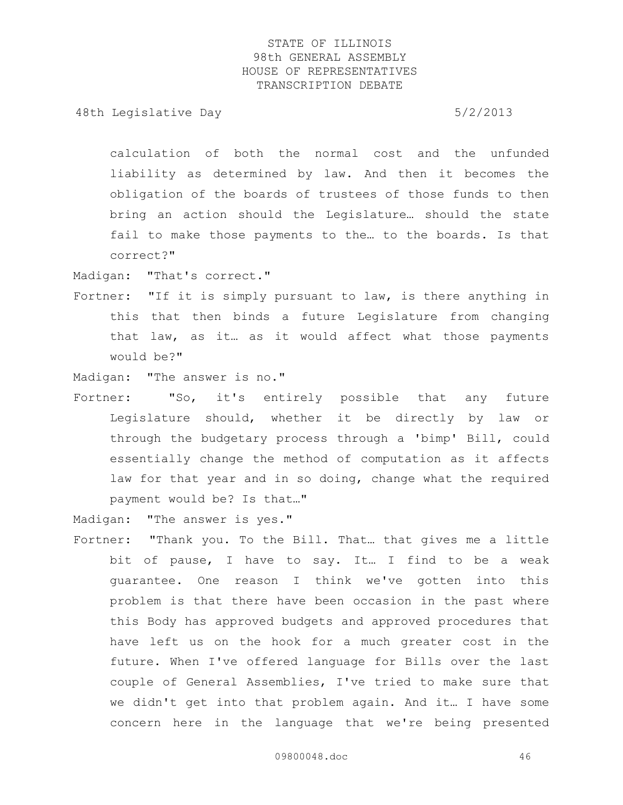48th Legislative Day 6/2/2013

calculation of both the normal cost and the unfunded liability as determined by law. And then it becomes the obligation of the boards of trustees of those funds to then bring an action should the Legislature… should the state fail to make those payments to the… to the boards. Is that correct?"

Madigan: "That's correct."

- Fortner: "If it is simply pursuant to law, is there anything in this that then binds a future Legislature from changing that law, as it… as it would affect what those payments would be?"
- Madigan: "The answer is no."
- Fortner: "So, it's entirely possible that any future Legislature should, whether it be directly by law or through the budgetary process through a 'bimp' Bill, could essentially change the method of computation as it affects law for that year and in so doing, change what the required payment would be? Is that…"

Madigan: "The answer is yes."

Fortner: "Thank you. To the Bill. That… that gives me a little bit of pause, I have to say. It… I find to be a weak guarantee. One reason I think we've gotten into this problem is that there have been occasion in the past where this Body has approved budgets and approved procedures that have left us on the hook for a much greater cost in the future. When I've offered language for Bills over the last couple of General Assemblies, I've tried to make sure that we didn't get into that problem again. And it… I have some concern here in the language that we're being presented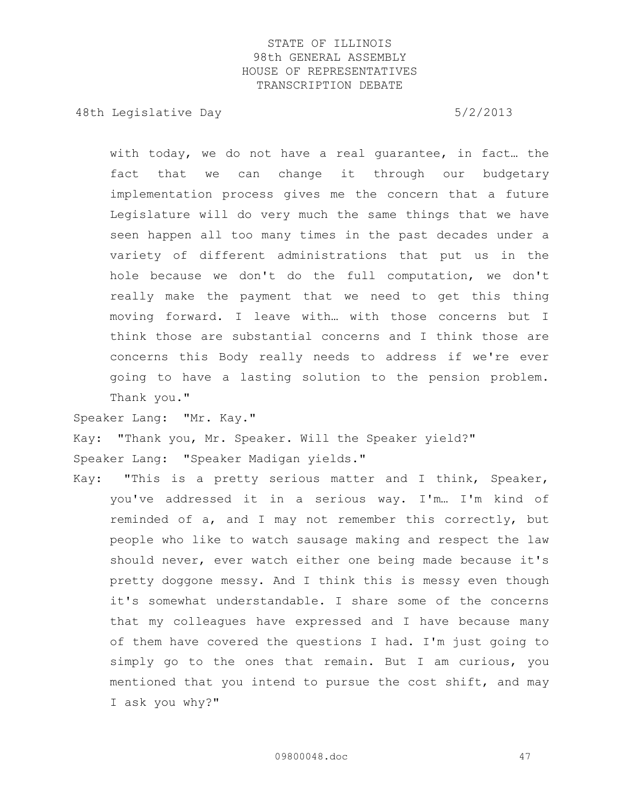48th Legislative Day 6/2/2013

with today, we do not have a real guarantee, in fact… the fact that we can change it through our budgetary implementation process gives me the concern that a future Legislature will do very much the same things that we have seen happen all too many times in the past decades under a variety of different administrations that put us in the hole because we don't do the full computation, we don't really make the payment that we need to get this thing moving forward. I leave with… with those concerns but I think those are substantial concerns and I think those are concerns this Body really needs to address if we're ever going to have a lasting solution to the pension problem. Thank you."

Speaker Lang: "Mr. Kay."

Kay: "Thank you, Mr. Speaker. Will the Speaker yield?" Speaker Lang: "Speaker Madigan yields."

Kay: "This is a pretty serious matter and I think, Speaker, you've addressed it in a serious way. I'm… I'm kind of reminded of a, and I may not remember this correctly, but people who like to watch sausage making and respect the law should never, ever watch either one being made because it's pretty doggone messy. And I think this is messy even though it's somewhat understandable. I share some of the concerns that my colleagues have expressed and I have because many of them have covered the questions I had. I'm just going to simply go to the ones that remain. But I am curious, you mentioned that you intend to pursue the cost shift, and may I ask you why?"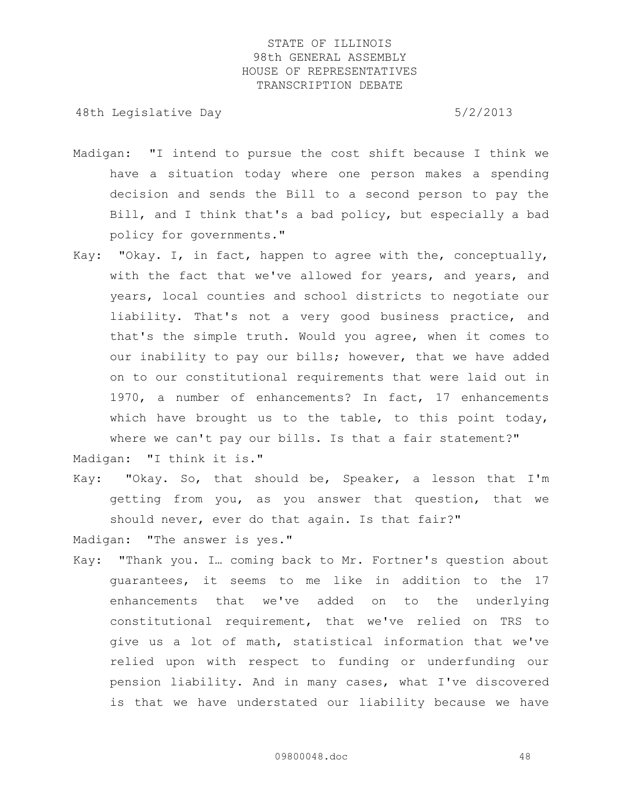48th Legislative Day 6/2/2013

- Madigan: "I intend to pursue the cost shift because I think we have a situation today where one person makes a spending decision and sends the Bill to a second person to pay the Bill, and I think that's a bad policy, but especially a bad policy for governments."
- Kay: "Okay. I, in fact, happen to agree with the, conceptually, with the fact that we've allowed for years, and years, and years, local counties and school districts to negotiate our liability. That's not a very good business practice, and that's the simple truth. Would you agree, when it comes to our inability to pay our bills; however, that we have added on to our constitutional requirements that were laid out in 1970, a number of enhancements? In fact, 17 enhancements which have brought us to the table, to this point today, where we can't pay our bills. Is that a fair statement?" Madigan: "I think it is."
- Kay: "Okay. So, that should be, Speaker, a lesson that I'm getting from you, as you answer that question, that we should never, ever do that again. Is that fair?"

Madigan: "The answer is yes."

Kay: "Thank you. I… coming back to Mr. Fortner's question about guarantees, it seems to me like in addition to the 17 enhancements that we've added on to the underlying constitutional requirement, that we've relied on TRS to give us a lot of math, statistical information that we've relied upon with respect to funding or underfunding our pension liability. And in many cases, what I've discovered is that we have understated our liability because we have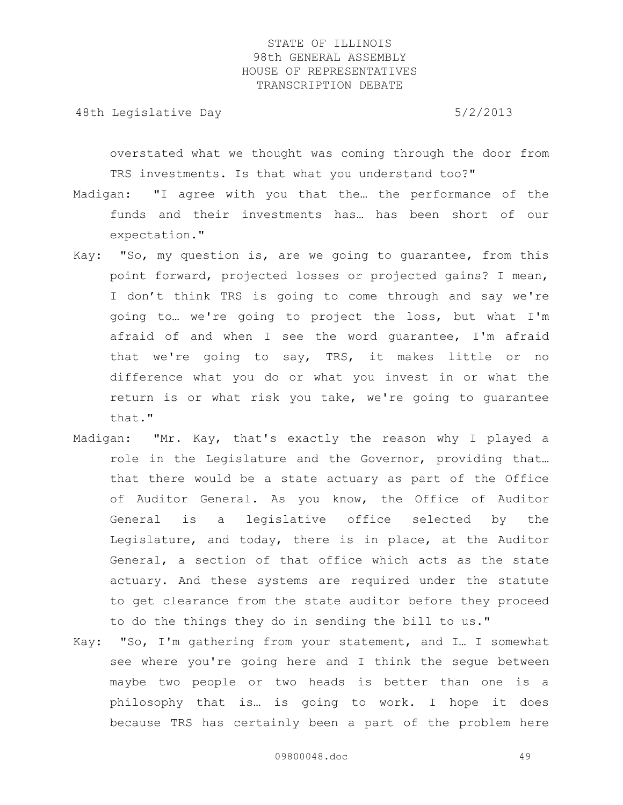48th Legislative Day 6/2/2013

overstated what we thought was coming through the door from TRS investments. Is that what you understand too?"

- Madigan: "I agree with you that the… the performance of the funds and their investments has… has been short of our expectation."
- Kay: "So, my question is, are we going to guarantee, from this point forward, projected losses or projected gains? I mean, I don't think TRS is going to come through and say we're going to… we're going to project the loss, but what I'm afraid of and when I see the word guarantee, I'm afraid that we're going to say, TRS, it makes little or no difference what you do or what you invest in or what the return is or what risk you take, we're going to guarantee that."
- Madigan: "Mr. Kay, that's exactly the reason why I played a role in the Legislature and the Governor, providing that… that there would be a state actuary as part of the Office of Auditor General. As you know, the Office of Auditor General is a legislative office selected by the Legislature, and today, there is in place, at the Auditor General, a section of that office which acts as the state actuary. And these systems are required under the statute to get clearance from the state auditor before they proceed to do the things they do in sending the bill to us."
- Kay: "So, I'm gathering from your statement, and I… I somewhat see where you're going here and I think the segue between maybe two people or two heads is better than one is a philosophy that is… is going to work. I hope it does because TRS has certainly been a part of the problem here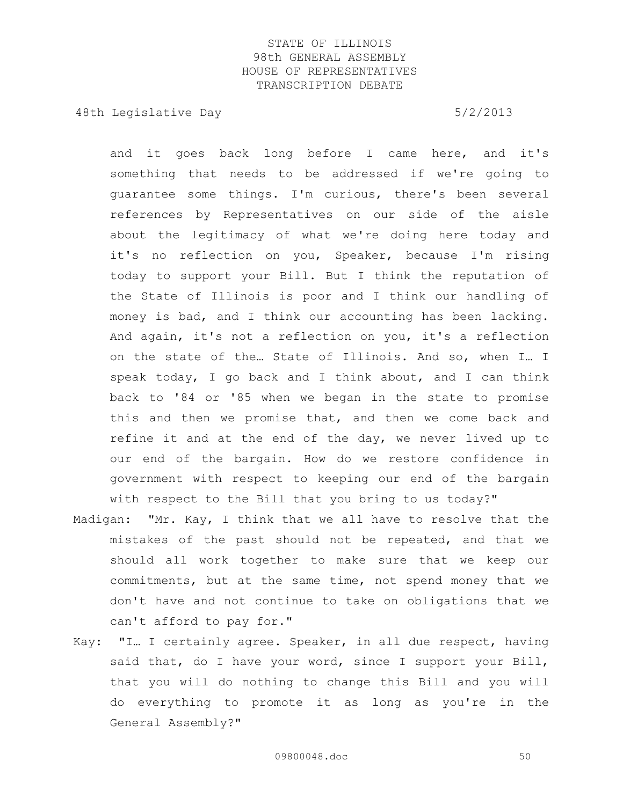48th Legislative Day 6/2/2013

and it goes back long before I came here, and it's something that needs to be addressed if we're going to guarantee some things. I'm curious, there's been several references by Representatives on our side of the aisle about the legitimacy of what we're doing here today and it's no reflection on you, Speaker, because I'm rising today to support your Bill. But I think the reputation of the State of Illinois is poor and I think our handling of money is bad, and I think our accounting has been lacking. And again, it's not a reflection on you, it's a reflection on the state of the… State of Illinois. And so, when I… I speak today, I go back and I think about, and I can think back to '84 or '85 when we began in the state to promise this and then we promise that, and then we come back and refine it and at the end of the day, we never lived up to our end of the bargain. How do we restore confidence in government with respect to keeping our end of the bargain with respect to the Bill that you bring to us today?"

- Madigan: "Mr. Kay, I think that we all have to resolve that the mistakes of the past should not be repeated, and that we should all work together to make sure that we keep our commitments, but at the same time, not spend money that we don't have and not continue to take on obligations that we can't afford to pay for."
- Kay: "I… I certainly agree. Speaker, in all due respect, having said that, do I have your word, since I support your Bill, that you will do nothing to change this Bill and you will do everything to promote it as long as you're in the General Assembly?"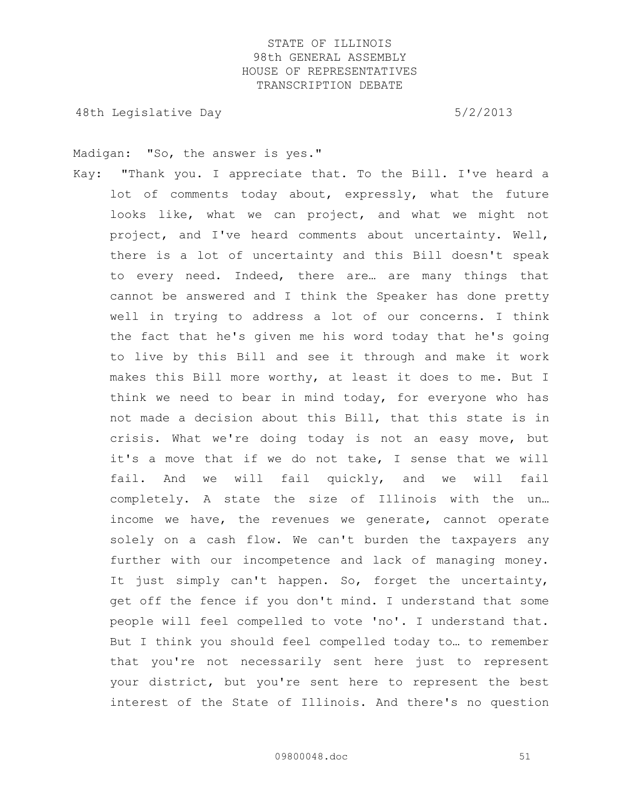48th Legislative Day 6/2/2013

Madigan: "So, the answer is yes."

Kay: "Thank you. I appreciate that. To the Bill. I've heard a lot of comments today about, expressly, what the future looks like, what we can project, and what we might not project, and I've heard comments about uncertainty. Well, there is a lot of uncertainty and this Bill doesn't speak to every need. Indeed, there are… are many things that cannot be answered and I think the Speaker has done pretty well in trying to address a lot of our concerns. I think the fact that he's given me his word today that he's going to live by this Bill and see it through and make it work makes this Bill more worthy, at least it does to me. But I think we need to bear in mind today, for everyone who has not made a decision about this Bill, that this state is in crisis. What we're doing today is not an easy move, but it's a move that if we do not take, I sense that we will fail. And we will fail quickly, and we will fail completely. A state the size of Illinois with the un… income we have, the revenues we generate, cannot operate solely on a cash flow. We can't burden the taxpayers any further with our incompetence and lack of managing money. It just simply can't happen. So, forget the uncertainty, get off the fence if you don't mind. I understand that some people will feel compelled to vote 'no'. I understand that. But I think you should feel compelled today to… to remember that you're not necessarily sent here just to represent your district, but you're sent here to represent the best interest of the State of Illinois. And there's no question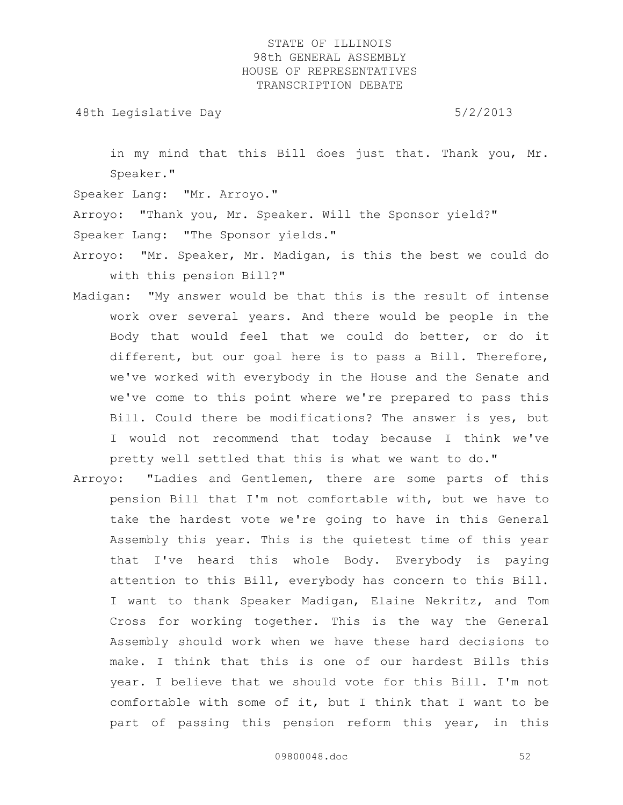48th Legislative Day 6/2/2013

in my mind that this Bill does just that. Thank you, Mr. Speaker."

Speaker Lang: "Mr. Arroyo."

Arroyo: "Thank you, Mr. Speaker. Will the Sponsor yield?"

Speaker Lang: "The Sponsor yields."

- Arroyo: "Mr. Speaker, Mr. Madigan, is this the best we could do with this pension Bill?"
- Madigan: "My answer would be that this is the result of intense work over several years. And there would be people in the Body that would feel that we could do better, or do it different, but our goal here is to pass a Bill. Therefore, we've worked with everybody in the House and the Senate and we've come to this point where we're prepared to pass this Bill. Could there be modifications? The answer is yes, but I would not recommend that today because I think we've pretty well settled that this is what we want to do."
- Arroyo: "Ladies and Gentlemen, there are some parts of this pension Bill that I'm not comfortable with, but we have to take the hardest vote we're going to have in this General Assembly this year. This is the quietest time of this year that I've heard this whole Body. Everybody is paying attention to this Bill, everybody has concern to this Bill. I want to thank Speaker Madigan, Elaine Nekritz, and Tom Cross for working together. This is the way the General Assembly should work when we have these hard decisions to make. I think that this is one of our hardest Bills this year. I believe that we should vote for this Bill. I'm not comfortable with some of it, but I think that I want to be part of passing this pension reform this year, in this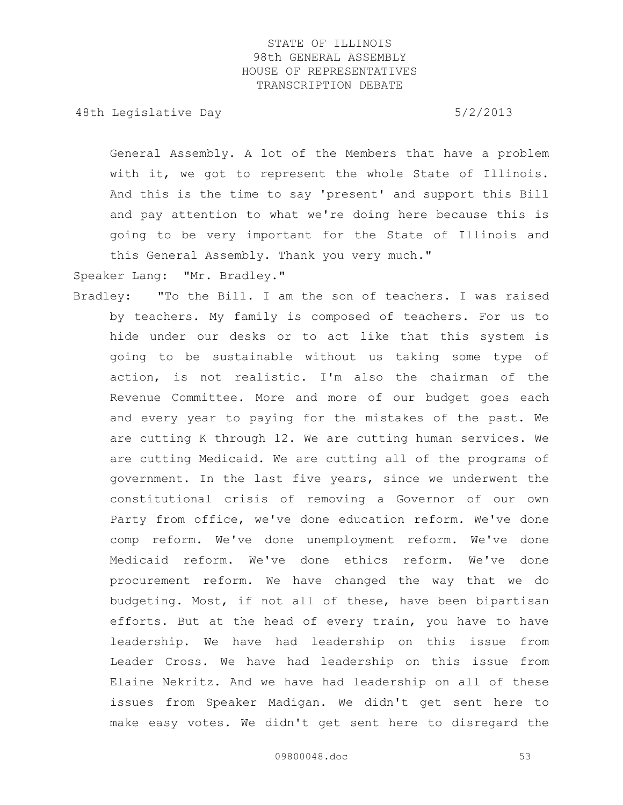48th Legislative Day 6/2/2013

General Assembly. A lot of the Members that have a problem with it, we got to represent the whole State of Illinois. And this is the time to say 'present' and support this Bill and pay attention to what we're doing here because this is going to be very important for the State of Illinois and this General Assembly. Thank you very much."

Speaker Lang: "Mr. Bradley."

Bradley: "To the Bill. I am the son of teachers. I was raised by teachers. My family is composed of teachers. For us to hide under our desks or to act like that this system is going to be sustainable without us taking some type of action, is not realistic. I'm also the chairman of the Revenue Committee. More and more of our budget goes each and every year to paying for the mistakes of the past. We are cutting K through 12. We are cutting human services. We are cutting Medicaid. We are cutting all of the programs of government. In the last five years, since we underwent the constitutional crisis of removing a Governor of our own Party from office, we've done education reform. We've done comp reform. We've done unemployment reform. We've done Medicaid reform. We've done ethics reform. We've done procurement reform. We have changed the way that we do budgeting. Most, if not all of these, have been bipartisan efforts. But at the head of every train, you have to have leadership. We have had leadership on this issue from Leader Cross. We have had leadership on this issue from Elaine Nekritz. And we have had leadership on all of these issues from Speaker Madigan. We didn't get sent here to make easy votes. We didn't get sent here to disregard the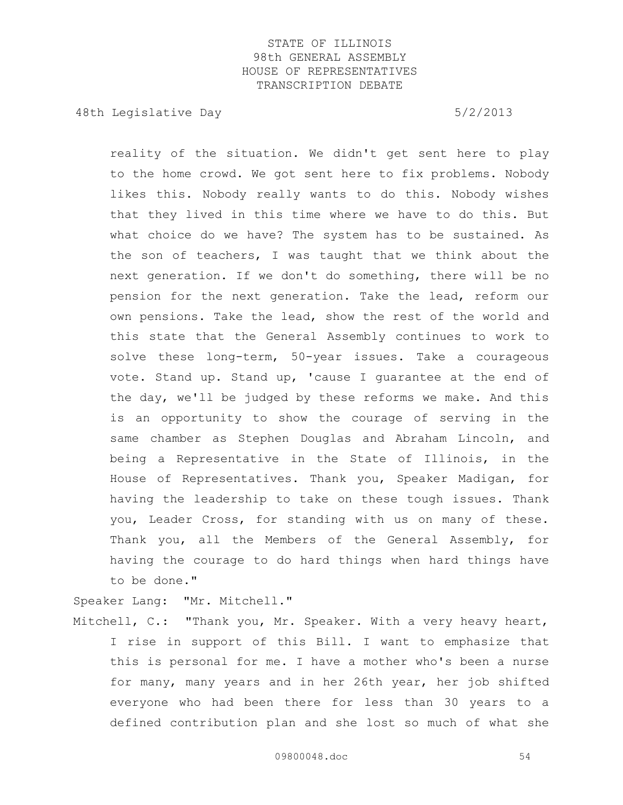48th Legislative Day 6/2/2013

reality of the situation. We didn't get sent here to play to the home crowd. We got sent here to fix problems. Nobody likes this. Nobody really wants to do this. Nobody wishes that they lived in this time where we have to do this. But what choice do we have? The system has to be sustained. As the son of teachers, I was taught that we think about the next generation. If we don't do something, there will be no pension for the next generation. Take the lead, reform our own pensions. Take the lead, show the rest of the world and this state that the General Assembly continues to work to solve these long-term, 50-year issues. Take a courageous vote. Stand up. Stand up, 'cause I guarantee at the end of the day, we'll be judged by these reforms we make. And this is an opportunity to show the courage of serving in the same chamber as Stephen Douglas and Abraham Lincoln, and being a Representative in the State of Illinois, in the House of Representatives. Thank you, Speaker Madigan, for having the leadership to take on these tough issues. Thank you, Leader Cross, for standing with us on many of these. Thank you, all the Members of the General Assembly, for having the courage to do hard things when hard things have to be done."

Speaker Lang: "Mr. Mitchell."

Mitchell, C.: "Thank you, Mr. Speaker. With a very heavy heart, I rise in support of this Bill. I want to emphasize that this is personal for me. I have a mother who's been a nurse for many, many years and in her 26th year, her job shifted everyone who had been there for less than 30 years to a defined contribution plan and she lost so much of what she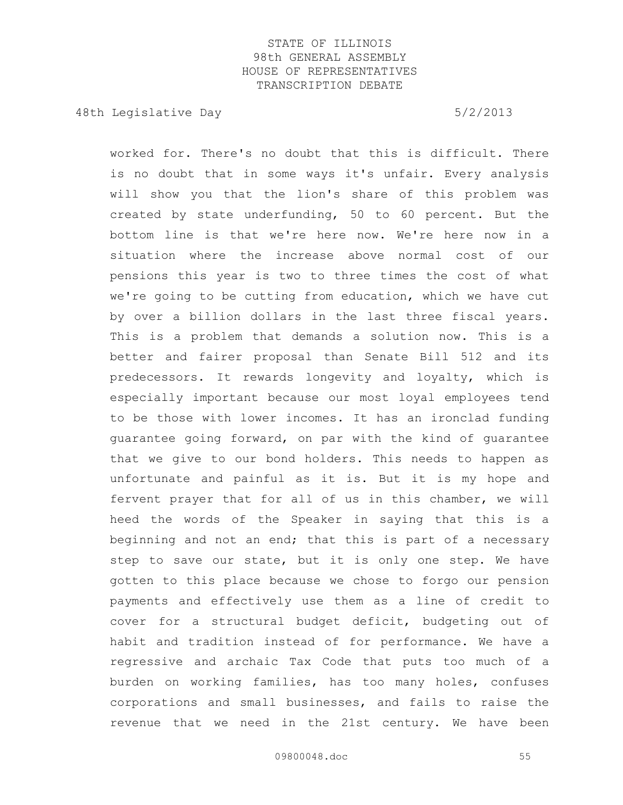48th Legislative Day 6/2/2013

worked for. There's no doubt that this is difficult. There is no doubt that in some ways it's unfair. Every analysis will show you that the lion's share of this problem was created by state underfunding, 50 to 60 percent. But the bottom line is that we're here now. We're here now in a situation where the increase above normal cost of our pensions this year is two to three times the cost of what we're going to be cutting from education, which we have cut by over a billion dollars in the last three fiscal years. This is a problem that demands a solution now. This is a better and fairer proposal than Senate Bill 512 and its predecessors. It rewards longevity and loyalty, which is especially important because our most loyal employees tend to be those with lower incomes. It has an ironclad funding guarantee going forward, on par with the kind of guarantee that we give to our bond holders. This needs to happen as unfortunate and painful as it is. But it is my hope and fervent prayer that for all of us in this chamber, we will heed the words of the Speaker in saying that this is a beginning and not an end; that this is part of a necessary step to save our state, but it is only one step. We have gotten to this place because we chose to forgo our pension payments and effectively use them as a line of credit to cover for a structural budget deficit, budgeting out of habit and tradition instead of for performance. We have a regressive and archaic Tax Code that puts too much of a burden on working families, has too many holes, confuses corporations and small businesses, and fails to raise the revenue that we need in the 21st century. We have been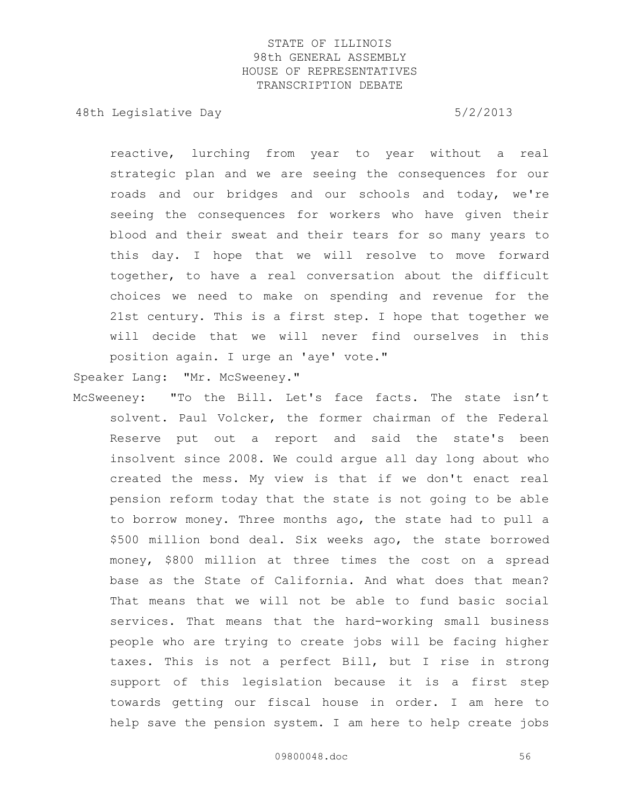48th Legislative Day 6/2/2013

reactive, lurching from year to year without a real strategic plan and we are seeing the consequences for our roads and our bridges and our schools and today, we're seeing the consequences for workers who have given their blood and their sweat and their tears for so many years to this day. I hope that we will resolve to move forward together, to have a real conversation about the difficult choices we need to make on spending and revenue for the 21st century. This is a first step. I hope that together we will decide that we will never find ourselves in this position again. I urge an 'aye' vote."

Speaker Lang: "Mr. McSweeney."

McSweeney: "To the Bill. Let's face facts. The state isn't solvent. Paul Volcker, the former chairman of the Federal Reserve put out a report and said the state's been insolvent since 2008. We could argue all day long about who created the mess. My view is that if we don't enact real pension reform today that the state is not going to be able to borrow money. Three months ago, the state had to pull a \$500 million bond deal. Six weeks ago, the state borrowed money, \$800 million at three times the cost on a spread base as the State of California. And what does that mean? That means that we will not be able to fund basic social services. That means that the hard-working small business people who are trying to create jobs will be facing higher taxes. This is not a perfect Bill, but I rise in strong support of this legislation because it is a first step towards getting our fiscal house in order. I am here to help save the pension system. I am here to help create jobs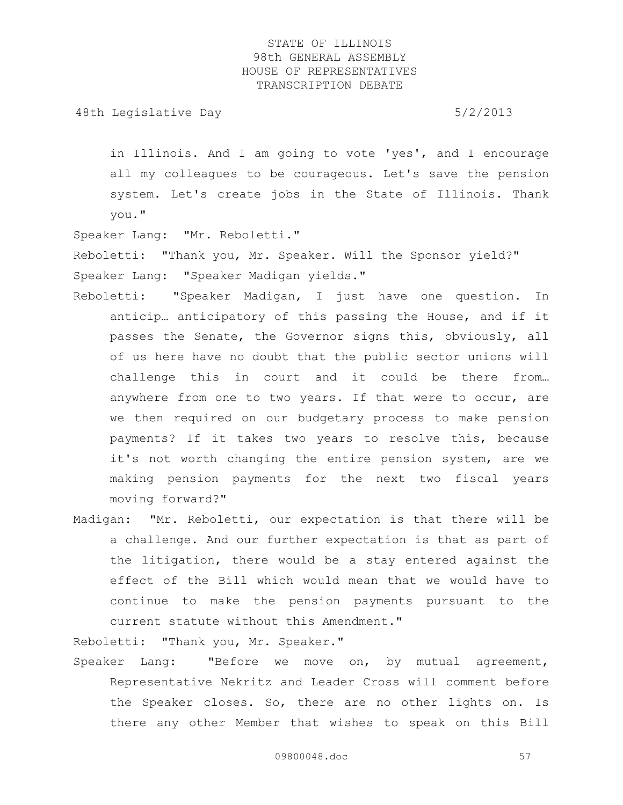48th Legislative Day 6/2/2013

in Illinois. And I am going to vote 'yes', and I encourage all my colleagues to be courageous. Let's save the pension system. Let's create jobs in the State of Illinois. Thank you."

Speaker Lang: "Mr. Reboletti."

Reboletti: "Thank you, Mr. Speaker. Will the Sponsor yield?" Speaker Lang: "Speaker Madigan yields."

- Reboletti: "Speaker Madigan, I just have one question. In anticip… anticipatory of this passing the House, and if it passes the Senate, the Governor signs this, obviously, all of us here have no doubt that the public sector unions will challenge this in court and it could be there from… anywhere from one to two years. If that were to occur, are we then required on our budgetary process to make pension payments? If it takes two years to resolve this, because it's not worth changing the entire pension system, are we making pension payments for the next two fiscal years moving forward?"
- Madigan: "Mr. Reboletti, our expectation is that there will be a challenge. And our further expectation is that as part of the litigation, there would be a stay entered against the effect of the Bill which would mean that we would have to continue to make the pension payments pursuant to the current statute without this Amendment."

Reboletti: "Thank you, Mr. Speaker."

Speaker Lang: "Before we move on, by mutual agreement, Representative Nekritz and Leader Cross will comment before the Speaker closes. So, there are no other lights on. Is there any other Member that wishes to speak on this Bill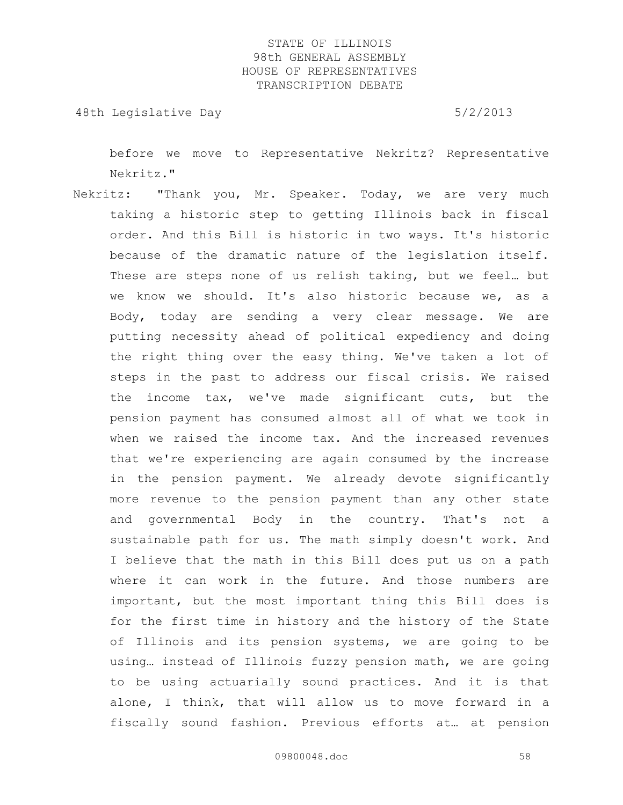48th Legislative Day 6/2/2013

before we move to Representative Nekritz? Representative Nekritz."

Nekritz: "Thank you, Mr. Speaker. Today, we are very much taking a historic step to getting Illinois back in fiscal order. And this Bill is historic in two ways. It's historic because of the dramatic nature of the legislation itself. These are steps none of us relish taking, but we feel… but we know we should. It's also historic because we, as a Body, today are sending a very clear message. We are putting necessity ahead of political expediency and doing the right thing over the easy thing. We've taken a lot of steps in the past to address our fiscal crisis. We raised the income tax, we've made significant cuts, but the pension payment has consumed almost all of what we took in when we raised the income tax. And the increased revenues that we're experiencing are again consumed by the increase in the pension payment. We already devote significantly more revenue to the pension payment than any other state and governmental Body in the country. That's not a sustainable path for us. The math simply doesn't work. And I believe that the math in this Bill does put us on a path where it can work in the future. And those numbers are important, but the most important thing this Bill does is for the first time in history and the history of the State of Illinois and its pension systems, we are going to be using… instead of Illinois fuzzy pension math, we are going to be using actuarially sound practices. And it is that alone, I think, that will allow us to move forward in a fiscally sound fashion. Previous efforts at… at pension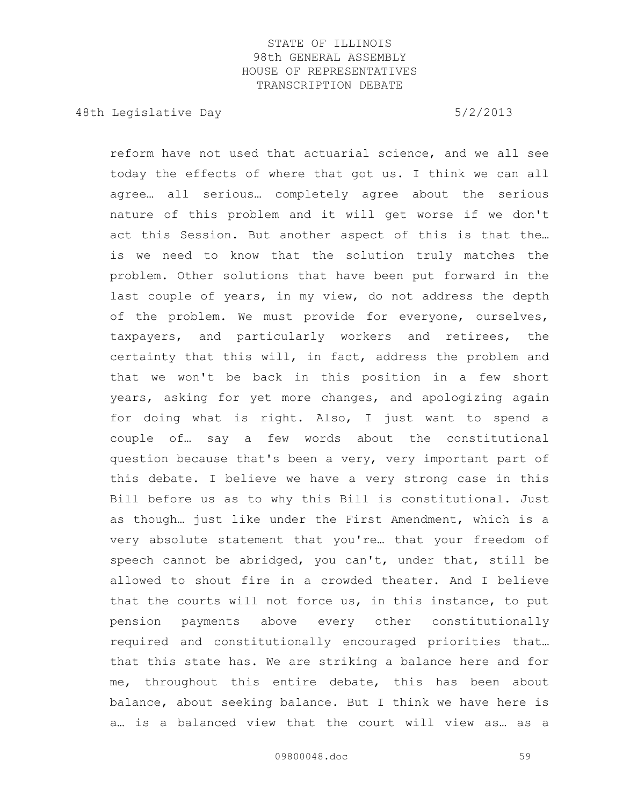48th Legislative Day 6/2/2013

reform have not used that actuarial science, and we all see today the effects of where that got us. I think we can all agree… all serious… completely agree about the serious nature of this problem and it will get worse if we don't act this Session. But another aspect of this is that the… is we need to know that the solution truly matches the problem. Other solutions that have been put forward in the last couple of years, in my view, do not address the depth of the problem. We must provide for everyone, ourselves, taxpayers, and particularly workers and retirees, the certainty that this will, in fact, address the problem and that we won't be back in this position in a few short years, asking for yet more changes, and apologizing again for doing what is right. Also, I just want to spend a couple of… say a few words about the constitutional question because that's been a very, very important part of this debate. I believe we have a very strong case in this Bill before us as to why this Bill is constitutional. Just as though… just like under the First Amendment, which is a very absolute statement that you're… that your freedom of speech cannot be abridged, you can't, under that, still be allowed to shout fire in a crowded theater. And I believe that the courts will not force us, in this instance, to put pension payments above every other constitutionally required and constitutionally encouraged priorities that… that this state has. We are striking a balance here and for me, throughout this entire debate, this has been about balance, about seeking balance. But I think we have here is a… is a balanced view that the court will view as… as a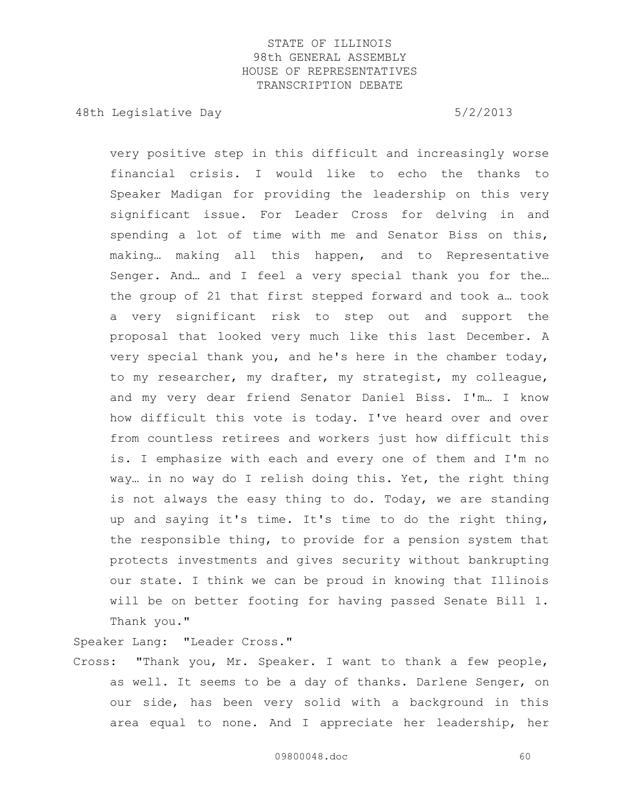48th Legislative Day 6/2/2013

very positive step in this difficult and increasingly worse financial crisis. I would like to echo the thanks to Speaker Madigan for providing the leadership on this very significant issue. For Leader Cross for delving in and spending a lot of time with me and Senator Biss on this, making… making all this happen, and to Representative Senger. And… and I feel a very special thank you for the… the group of 21 that first stepped forward and took a… took a very significant risk to step out and support the proposal that looked very much like this last December. A very special thank you, and he's here in the chamber today, to my researcher, my drafter, my strategist, my colleague, and my very dear friend Senator Daniel Biss. I'm… I know how difficult this vote is today. I've heard over and over from countless retirees and workers just how difficult this is. I emphasize with each and every one of them and I'm no way… in no way do I relish doing this. Yet, the right thing is not always the easy thing to do. Today, we are standing up and saying it's time. It's time to do the right thing, the responsible thing, to provide for a pension system that protects investments and gives security without bankrupting our state. I think we can be proud in knowing that Illinois will be on better footing for having passed Senate Bill 1. Thank you."

Speaker Lang: "Leader Cross."

Cross: "Thank you, Mr. Speaker. I want to thank a few people, as well. It seems to be a day of thanks. Darlene Senger, on our side, has been very solid with a background in this area equal to none. And I appreciate her leadership, her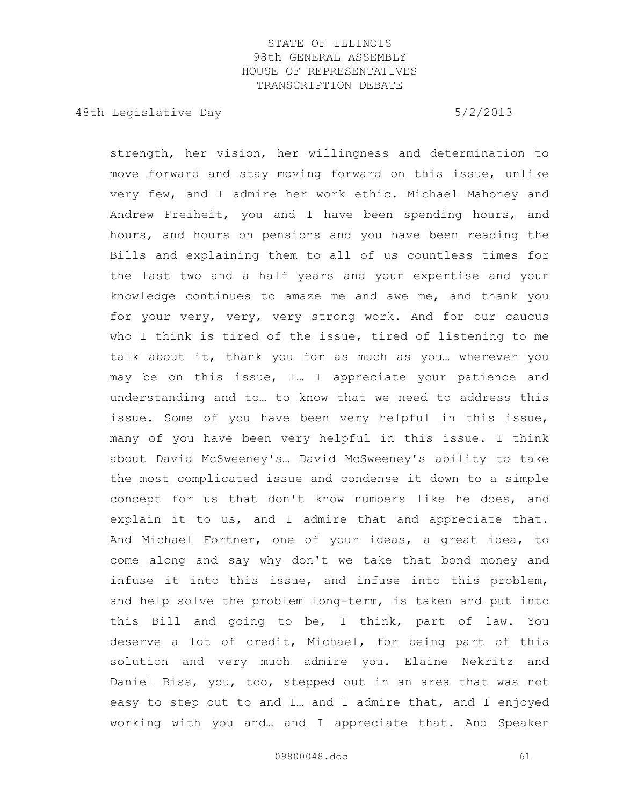48th Legislative Day 6/2/2013

strength, her vision, her willingness and determination to move forward and stay moving forward on this issue, unlike very few, and I admire her work ethic. Michael Mahoney and Andrew Freiheit, you and I have been spending hours, and hours, and hours on pensions and you have been reading the Bills and explaining them to all of us countless times for the last two and a half years and your expertise and your knowledge continues to amaze me and awe me, and thank you for your very, very, very strong work. And for our caucus who I think is tired of the issue, tired of listening to me talk about it, thank you for as much as you… wherever you may be on this issue, I… I appreciate your patience and understanding and to… to know that we need to address this issue. Some of you have been very helpful in this issue, many of you have been very helpful in this issue. I think about David McSweeney's… David McSweeney's ability to take the most complicated issue and condense it down to a simple concept for us that don't know numbers like he does, and explain it to us, and I admire that and appreciate that. And Michael Fortner, one of your ideas, a great idea, to come along and say why don't we take that bond money and infuse it into this issue, and infuse into this problem, and help solve the problem long-term, is taken and put into this Bill and going to be, I think, part of law. You deserve a lot of credit, Michael, for being part of this solution and very much admire you. Elaine Nekritz and Daniel Biss, you, too, stepped out in an area that was not easy to step out to and I… and I admire that, and I enjoyed working with you and… and I appreciate that. And Speaker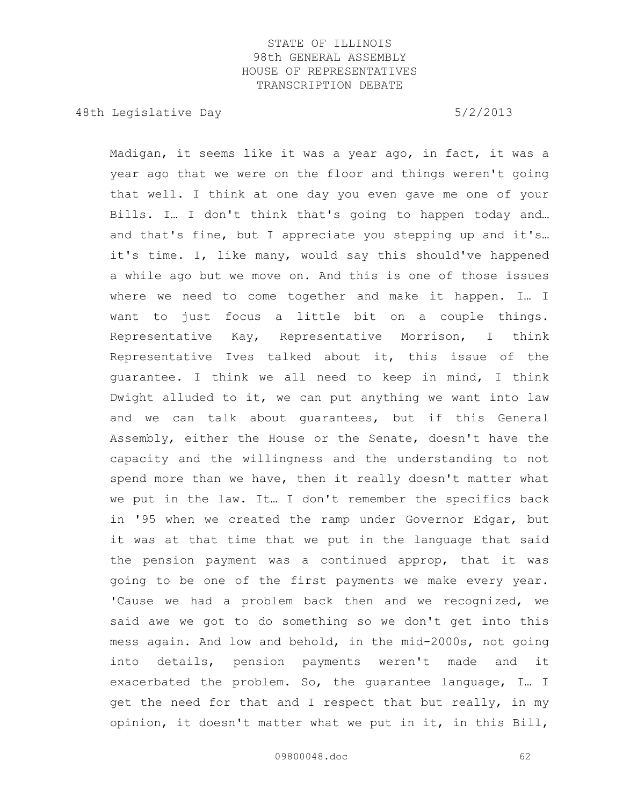48th Legislative Day 6/2/2013

Madigan, it seems like it was a year ago, in fact, it was a year ago that we were on the floor and things weren't going that well. I think at one day you even gave me one of your Bills. I… I don't think that's going to happen today and… and that's fine, but I appreciate you stepping up and it's… it's time. I, like many, would say this should've happened a while ago but we move on. And this is one of those issues where we need to come together and make it happen. I… I want to just focus a little bit on a couple things. Representative Kay, Representative Morrison, I think Representative Ives talked about it, this issue of the guarantee. I think we all need to keep in mind, I think Dwight alluded to it, we can put anything we want into law and we can talk about guarantees, but if this General Assembly, either the House or the Senate, doesn't have the capacity and the willingness and the understanding to not spend more than we have, then it really doesn't matter what we put in the law. It… I don't remember the specifics back in '95 when we created the ramp under Governor Edgar, but it was at that time that we put in the language that said the pension payment was a continued approp, that it was going to be one of the first payments we make every year. 'Cause we had a problem back then and we recognized, we said awe we got to do something so we don't get into this mess again. And low and behold, in the mid-2000s, not going into details, pension payments weren't made and it exacerbated the problem. So, the guarantee language, I… I get the need for that and I respect that but really, in my opinion, it doesn't matter what we put in it, in this Bill,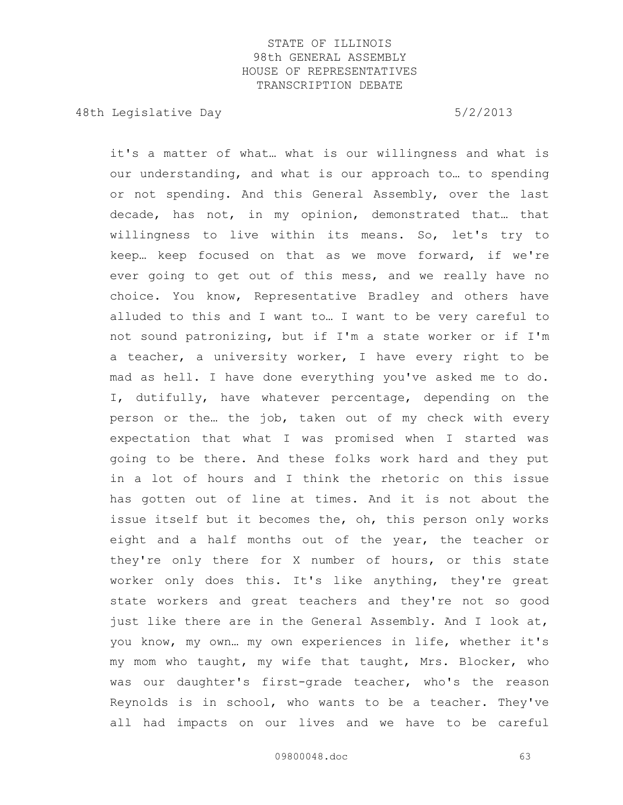48th Legislative Day 6/2/2013

it's a matter of what… what is our willingness and what is our understanding, and what is our approach to… to spending or not spending. And this General Assembly, over the last decade, has not, in my opinion, demonstrated that… that willingness to live within its means. So, let's try to keep… keep focused on that as we move forward, if we're ever going to get out of this mess, and we really have no choice. You know, Representative Bradley and others have alluded to this and I want to… I want to be very careful to not sound patronizing, but if I'm a state worker or if I'm a teacher, a university worker, I have every right to be mad as hell. I have done everything you've asked me to do. I, dutifully, have whatever percentage, depending on the person or the… the job, taken out of my check with every expectation that what I was promised when I started was going to be there. And these folks work hard and they put in a lot of hours and I think the rhetoric on this issue has gotten out of line at times. And it is not about the issue itself but it becomes the, oh, this person only works eight and a half months out of the year, the teacher or they're only there for X number of hours, or this state worker only does this. It's like anything, they're great state workers and great teachers and they're not so good just like there are in the General Assembly. And I look at, you know, my own… my own experiences in life, whether it's my mom who taught, my wife that taught, Mrs. Blocker, who was our daughter's first-grade teacher, who's the reason Reynolds is in school, who wants to be a teacher. They've all had impacts on our lives and we have to be careful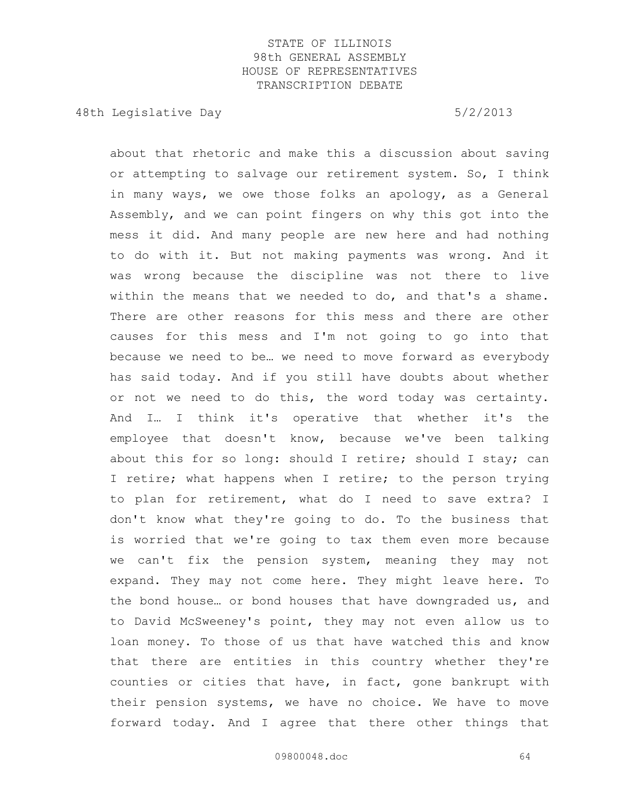48th Legislative Day 6/2/2013

about that rhetoric and make this a discussion about saving or attempting to salvage our retirement system. So, I think in many ways, we owe those folks an apology, as a General Assembly, and we can point fingers on why this got into the mess it did. And many people are new here and had nothing to do with it. But not making payments was wrong. And it was wrong because the discipline was not there to live within the means that we needed to do, and that's a shame. There are other reasons for this mess and there are other causes for this mess and I'm not going to go into that because we need to be… we need to move forward as everybody has said today. And if you still have doubts about whether or not we need to do this, the word today was certainty. And I… I think it's operative that whether it's the employee that doesn't know, because we've been talking about this for so long: should I retire; should I stay; can I retire; what happens when I retire; to the person trying to plan for retirement, what do I need to save extra? I don't know what they're going to do. To the business that is worried that we're going to tax them even more because we can't fix the pension system, meaning they may not expand. They may not come here. They might leave here. To the bond house… or bond houses that have downgraded us, and to David McSweeney's point, they may not even allow us to loan money. To those of us that have watched this and know that there are entities in this country whether they're counties or cities that have, in fact, gone bankrupt with their pension systems, we have no choice. We have to move forward today. And I agree that there other things that

09800048.doc 64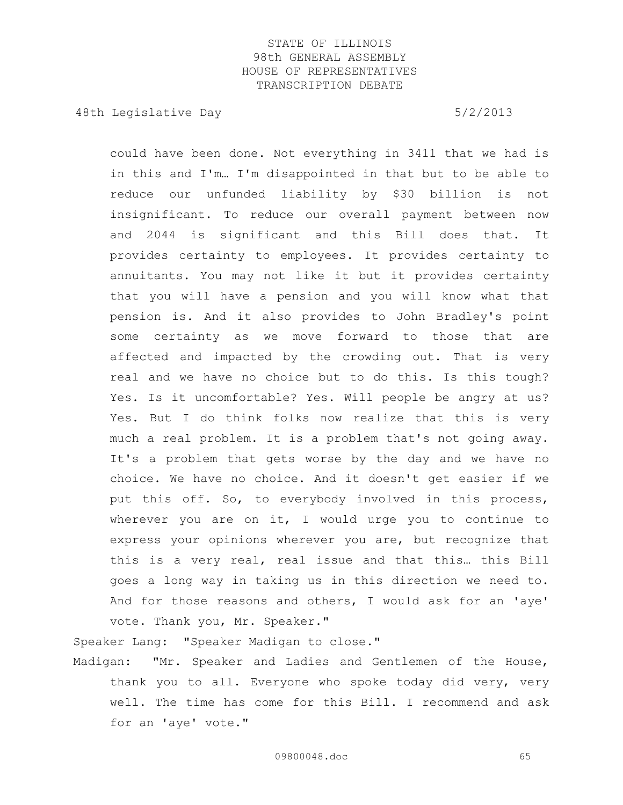48th Legislative Day 6/2/2013

could have been done. Not everything in 3411 that we had is in this and I'm… I'm disappointed in that but to be able to reduce our unfunded liability by \$30 billion is not insignificant. To reduce our overall payment between now and 2044 is significant and this Bill does that. It provides certainty to employees. It provides certainty to annuitants. You may not like it but it provides certainty that you will have a pension and you will know what that pension is. And it also provides to John Bradley's point some certainty as we move forward to those that are affected and impacted by the crowding out. That is very real and we have no choice but to do this. Is this tough? Yes. Is it uncomfortable? Yes. Will people be angry at us? Yes. But I do think folks now realize that this is very much a real problem. It is a problem that's not going away. It's a problem that gets worse by the day and we have no choice. We have no choice. And it doesn't get easier if we put this off. So, to everybody involved in this process, wherever you are on it, I would urge you to continue to express your opinions wherever you are, but recognize that this is a very real, real issue and that this… this Bill goes a long way in taking us in this direction we need to. And for those reasons and others, I would ask for an 'aye' vote. Thank you, Mr. Speaker."

Speaker Lang: "Speaker Madigan to close."

Madigan: "Mr. Speaker and Ladies and Gentlemen of the House, thank you to all. Everyone who spoke today did very, very well. The time has come for this Bill. I recommend and ask for an 'aye' vote."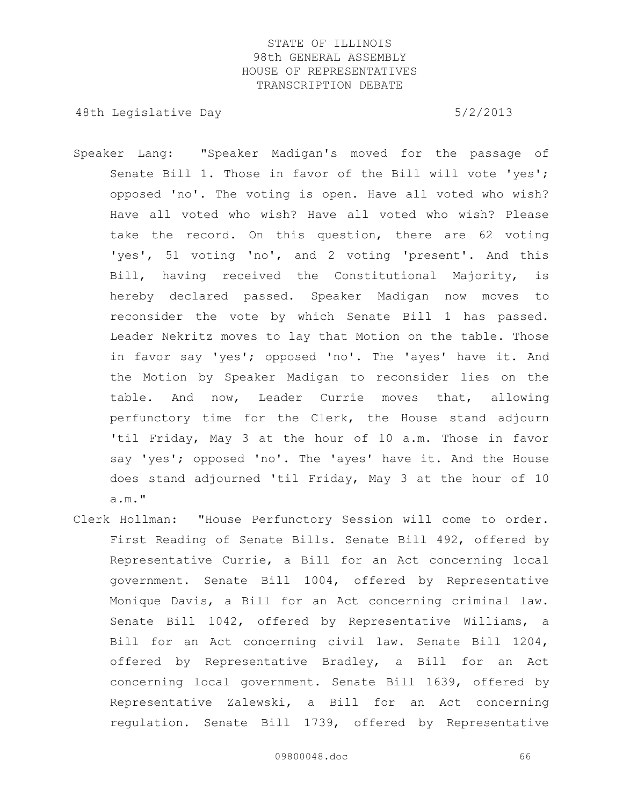- Speaker Lang: "Speaker Madigan's moved for the passage of Senate Bill 1. Those in favor of the Bill will vote 'yes'; opposed 'no'. The voting is open. Have all voted who wish? Have all voted who wish? Have all voted who wish? Please take the record. On this question, there are 62 voting 'yes', 51 voting 'no', and 2 voting 'present'. And this Bill, having received the Constitutional Majority, is hereby declared passed. Speaker Madigan now moves to reconsider the vote by which Senate Bill 1 has passed. Leader Nekritz moves to lay that Motion on the table. Those in favor say 'yes'; opposed 'no'. The 'ayes' have it. And the Motion by Speaker Madigan to reconsider lies on the table. And now, Leader Currie moves that, allowing perfunctory time for the Clerk, the House stand adjourn 'til Friday, May 3 at the hour of 10 a.m. Those in favor say 'yes'; opposed 'no'. The 'ayes' have it. And the House does stand adjourned 'til Friday, May 3 at the hour of 10 a.m."
- Clerk Hollman: "House Perfunctory Session will come to order. First Reading of Senate Bills. Senate Bill 492, offered by Representative Currie, a Bill for an Act concerning local government. Senate Bill 1004, offered by Representative Monique Davis, a Bill for an Act concerning criminal law. Senate Bill 1042, offered by Representative Williams, a Bill for an Act concerning civil law. Senate Bill 1204, offered by Representative Bradley, a Bill for an Act concerning local government. Senate Bill 1639, offered by Representative Zalewski, a Bill for an Act concerning regulation. Senate Bill 1739, offered by Representative